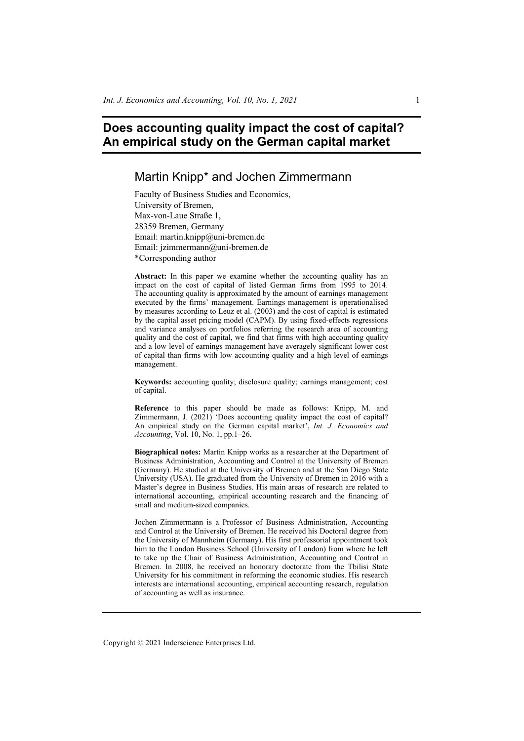# **Does accounting quality impact the cost of capital? An empirical study on the German capital market**

## Martin Knipp\* and Jochen Zimmermann

Faculty of Business Studies and Economics, University of Bremen, Max-von-Laue Straße 1, 28359 Bremen, Germany Email: martin.knipp@uni-bremen.de Email: jzimmermann@uni-bremen.de \*Corresponding author

Abstract: In this paper we examine whether the accounting quality has an impact on the cost of capital of listed German firms from 1995 to 2014. The accounting quality is approximated by the amount of earnings management executed by the firms' management. Earnings management is operationalised by measures according to Leuz et al. (2003) and the cost of capital is estimated by the capital asset pricing model (CAPM). By using fixed-effects regressions and variance analyses on portfolios referring the research area of accounting quality and the cost of capital, we find that firms with high accounting quality and a low level of earnings management have averagely significant lower cost of capital than firms with low accounting quality and a high level of earnings management.

**Keywords:** accounting quality; disclosure quality; earnings management; cost of capital.

**Reference** to this paper should be made as follows: Knipp, M. and Zimmermann, J. (2021) 'Does accounting quality impact the cost of capital? An empirical study on the German capital market', *Int. J. Economics and Accounting*, Vol. 10, No. 1, pp.1–26.

**Biographical notes:** Martin Knipp works as a researcher at the Department of Business Administration, Accounting and Control at the University of Bremen (Germany). He studied at the University of Bremen and at the San Diego State University (USA). He graduated from the University of Bremen in 2016 with a Master's degree in Business Studies. His main areas of research are related to international accounting, empirical accounting research and the financing of small and medium-sized companies.

Jochen Zimmermann is a Professor of Business Administration, Accounting and Control at the University of Bremen. He received his Doctoral degree from the University of Mannheim (Germany). His first professorial appointment took him to the London Business School (University of London) from where he left to take up the Chair of Business Administration, Accounting and Control in Bremen. In 2008, he received an honorary doctorate from the Tbilisi State University for his commitment in reforming the economic studies. His research interests are international accounting, empirical accounting research, regulation of accounting as well as insurance.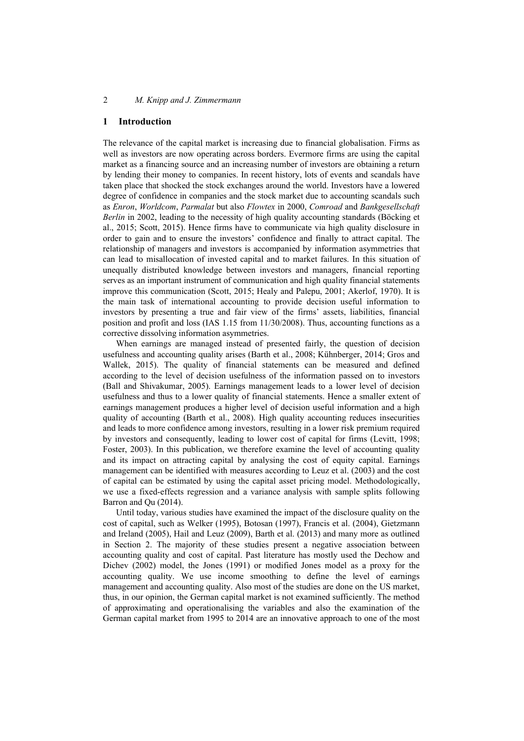#### **1 Introduction**

The relevance of the capital market is increasing due to financial globalisation. Firms as well as investors are now operating across borders. Evermore firms are using the capital market as a financing source and an increasing number of investors are obtaining a return by lending their money to companies. In recent history, lots of events and scandals have taken place that shocked the stock exchanges around the world. Investors have a lowered degree of confidence in companies and the stock market due to accounting scandals such as *Enron*, *Worldcom*, *Parmalat* but also *Flowtex* in 2000, *Comroad* and *Bankgesellschaft Berlin* in 2002, leading to the necessity of high quality accounting standards (Böcking et al., 2015; Scott, 2015). Hence firms have to communicate via high quality disclosure in order to gain and to ensure the investors' confidence and finally to attract capital. The relationship of managers and investors is accompanied by information asymmetries that can lead to misallocation of invested capital and to market failures. In this situation of unequally distributed knowledge between investors and managers, financial reporting serves as an important instrument of communication and high quality financial statements improve this communication (Scott, 2015; Healy and Palepu, 2001; Akerlof, 1970). It is the main task of international accounting to provide decision useful information to investors by presenting a true and fair view of the firms' assets, liabilities, financial position and profit and loss (IAS 1.15 from 11/30/2008). Thus, accounting functions as a corrective dissolving information asymmetries.

When earnings are managed instead of presented fairly, the question of decision usefulness and accounting quality arises (Barth et al., 2008; Kühnberger, 2014; Gros and Wallek, 2015). The quality of financial statements can be measured and defined according to the level of decision usefulness of the information passed on to investors (Ball and Shivakumar, 2005). Earnings management leads to a lower level of decision usefulness and thus to a lower quality of financial statements. Hence a smaller extent of earnings management produces a higher level of decision useful information and a high quality of accounting (Barth et al., 2008). High quality accounting reduces insecurities and leads to more confidence among investors, resulting in a lower risk premium required by investors and consequently, leading to lower cost of capital for firms (Levitt, 1998; Foster, 2003). In this publication, we therefore examine the level of accounting quality and its impact on attracting capital by analysing the cost of equity capital. Earnings management can be identified with measures according to Leuz et al. (2003) and the cost of capital can be estimated by using the capital asset pricing model. Methodologically, we use a fixed-effects regression and a variance analysis with sample splits following Barron and Qu (2014).

Until today, various studies have examined the impact of the disclosure quality on the cost of capital, such as Welker (1995), Botosan (1997), Francis et al. (2004), Gietzmann and Ireland (2005), Hail and Leuz (2009), Barth et al. (2013) and many more as outlined in Section 2. The majority of these studies present a negative association between accounting quality and cost of capital. Past literature has mostly used the Dechow and Dichev (2002) model, the Jones (1991) or modified Jones model as a proxy for the accounting quality. We use income smoothing to define the level of earnings management and accounting quality. Also most of the studies are done on the US market, thus, in our opinion, the German capital market is not examined sufficiently. The method of approximating and operationalising the variables and also the examination of the German capital market from 1995 to 2014 are an innovative approach to one of the most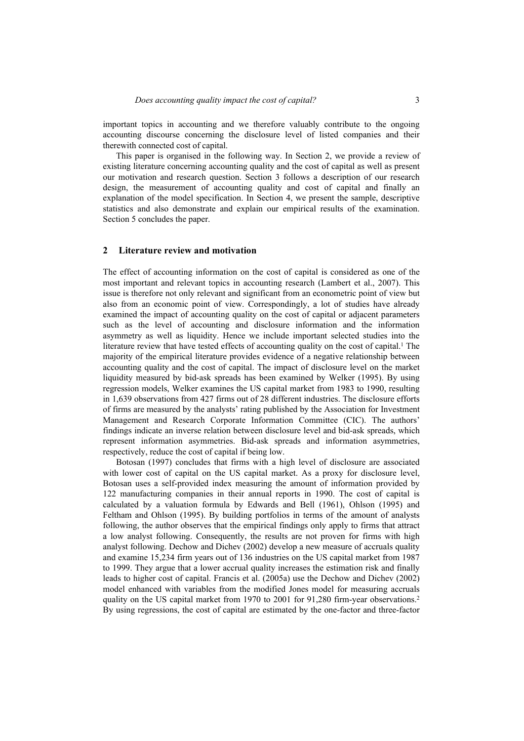important topics in accounting and we therefore valuably contribute to the ongoing accounting discourse concerning the disclosure level of listed companies and their therewith connected cost of capital.

This paper is organised in the following way. In Section 2, we provide a review of existing literature concerning accounting quality and the cost of capital as well as present our motivation and research question. Section 3 follows a description of our research design, the measurement of accounting quality and cost of capital and finally an explanation of the model specification. In Section 4, we present the sample, descriptive statistics and also demonstrate and explain our empirical results of the examination. Section 5 concludes the paper.

#### **2 Literature review and motivation**

The effect of accounting information on the cost of capital is considered as one of the most important and relevant topics in accounting research (Lambert et al., 2007). This issue is therefore not only relevant and significant from an econometric point of view but also from an economic point of view. Correspondingly, a lot of studies have already examined the impact of accounting quality on the cost of capital or adjacent parameters such as the level of accounting and disclosure information and the information asymmetry as well as liquidity. Hence we include important selected studies into the literature review that have tested effects of accounting quality on the cost of capital.<sup>1</sup> The majority of the empirical literature provides evidence of a negative relationship between accounting quality and the cost of capital. The impact of disclosure level on the market liquidity measured by bid-ask spreads has been examined by Welker (1995). By using regression models, Welker examines the US capital market from 1983 to 1990, resulting in 1,639 observations from 427 firms out of 28 different industries. The disclosure efforts of firms are measured by the analysts' rating published by the Association for Investment Management and Research Corporate Information Committee (CIC). The authors' findings indicate an inverse relation between disclosure level and bid-ask spreads, which represent information asymmetries. Bid-ask spreads and information asymmetries, respectively, reduce the cost of capital if being low.

Botosan (1997) concludes that firms with a high level of disclosure are associated with lower cost of capital on the US capital market. As a proxy for disclosure level, Botosan uses a self-provided index measuring the amount of information provided by 122 manufacturing companies in their annual reports in 1990. The cost of capital is calculated by a valuation formula by Edwards and Bell (1961), Ohlson (1995) and Feltham and Ohlson (1995). By building portfolios in terms of the amount of analysts following, the author observes that the empirical findings only apply to firms that attract a low analyst following. Consequently, the results are not proven for firms with high analyst following. Dechow and Dichev (2002) develop a new measure of accruals quality and examine 15,234 firm years out of 136 industries on the US capital market from 1987 to 1999. They argue that a lower accrual quality increases the estimation risk and finally leads to higher cost of capital. Francis et al. (2005a) use the Dechow and Dichev (2002) model enhanced with variables from the modified Jones model for measuring accruals quality on the US capital market from 1970 to 2001 for 91,280 firm-year observations.<sup>2</sup> By using regressions, the cost of capital are estimated by the one-factor and three-factor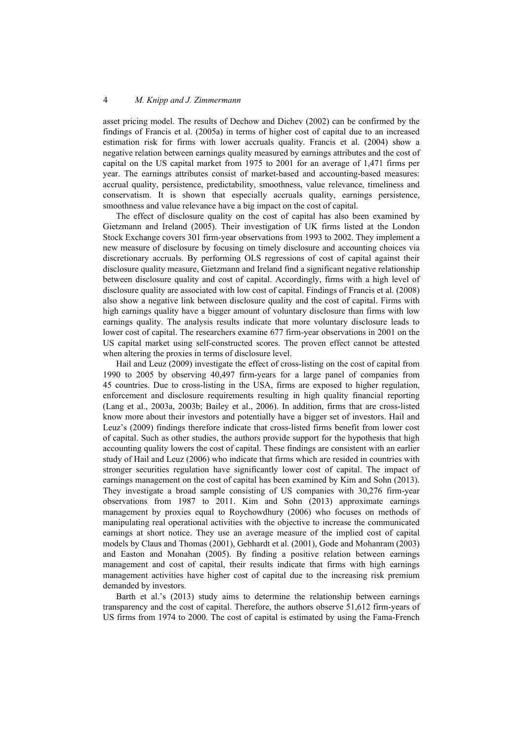asset pricing model. The results of Dechow and Dichev (2002) can be confirmed by the findings of Francis et al. (2005a) in terms of higher cost of capital due to an increased estimation risk for firms with lower accruals quality. Francis et al. (2004) show a negative relation between earnings quality measured by earnings attributes and the cost of capital on the US capital market from 1975 to 2001 for an average of 1,471 firms per year. The earnings attributes consist of market-based and accounting-based measures: accrual quality, persistence, predictability, smoothness, value relevance, timeliness and conservatism. It is shown that especially accruals quality, earnings persistence, smoothness and value relevance have a big impact on the cost of capital.

The effect of disclosure quality on the cost of capital has also been examined by Gietzmann and Ireland (2005). Their investigation of UK firms listed at the London Stock Exchange covers 301 firm-year observations from 1993 to 2002. They implement a new measure of disclosure by focusing on timely disclosure and accounting choices via discretionary accruals. By performing OLS regressions of cost of capital against their disclosure quality measure, Gietzmann and Ireland find a significant negative relationship between disclosure quality and cost of capital. Accordingly, firms with a high level of disclosure quality are associated with low cost of capital. Findings of Francis et al. (2008) also show a negative link between disclosure quality and the cost of capital. Firms with high earnings quality have a bigger amount of voluntary disclosure than firms with low earnings quality. The analysis results indicate that more voluntary disclosure leads to lower cost of capital. The researchers examine 677 firm-year observations in 2001 on the US capital market using self-constructed scores. The proven effect cannot be attested when altering the proxies in terms of disclosure level.

Hail and Leuz (2009) investigate the effect of cross-listing on the cost of capital from 1990 to 2005 by observing 40,497 firm-years for a large panel of companies from 45 countries. Due to cross-listing in the USA, firms are exposed to higher regulation, enforcement and disclosure requirements resulting in high quality financial reporting (Lang et al., 2003a, 2003b; Bailey et al., 2006). In addition, firms that are cross-listed know more about their investors and potentially have a bigger set of investors. Hail and Leuz's (2009) findings therefore indicate that cross-listed firms benefit from lower cost of capital. Such as other studies, the authors provide support for the hypothesis that high accounting quality lowers the cost of capital. These findings are consistent with an earlier study of Hail and Leuz (2006) who indicate that firms which are resided in countries with stronger securities regulation have significantly lower cost of capital. The impact of earnings management on the cost of capital has been examined by Kim and Sohn (2013). They investigate a broad sample consisting of US companies with 30,276 firm-year observations from 1987 to 2011. Kim and Sohn (2013) approximate earnings management by proxies equal to Roychowdhury (2006) who focuses on methods of manipulating real operational activities with the objective to increase the communicated earnings at short notice. They use an average measure of the implied cost of capital models by Claus and Thomas (2001), Gebhardt et al. (2001), Gode and Mohanram (2003) and Easton and Monahan (2005). By finding a positive relation between earnings management and cost of capital, their results indicate that firms with high earnings management activities have higher cost of capital due to the increasing risk premium demanded by investors.

Barth et al.'s (2013) study aims to determine the relationship between earnings transparency and the cost of capital. Therefore, the authors observe 51,612 firm-years of US firms from 1974 to 2000. The cost of capital is estimated by using the Fama-French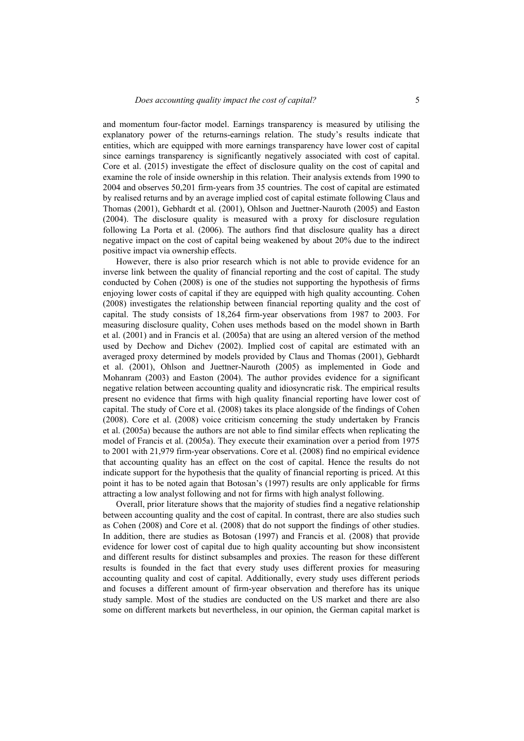and momentum four-factor model. Earnings transparency is measured by utilising the explanatory power of the returns-earnings relation. The study's results indicate that entities, which are equipped with more earnings transparency have lower cost of capital since earnings transparency is significantly negatively associated with cost of capital. Core et al. (2015) investigate the effect of disclosure quality on the cost of capital and examine the role of inside ownership in this relation. Their analysis extends from 1990 to 2004 and observes 50,201 firm-years from 35 countries. The cost of capital are estimated by realised returns and by an average implied cost of capital estimate following Claus and Thomas (2001), Gebhardt et al. (2001), Ohlson and Juettner-Nauroth (2005) and Easton (2004). The disclosure quality is measured with a proxy for disclosure regulation following La Porta et al. (2006). The authors find that disclosure quality has a direct negative impact on the cost of capital being weakened by about 20% due to the indirect positive impact via ownership effects.

However, there is also prior research which is not able to provide evidence for an inverse link between the quality of financial reporting and the cost of capital. The study conducted by Cohen (2008) is one of the studies not supporting the hypothesis of firms enjoying lower costs of capital if they are equipped with high quality accounting. Cohen (2008) investigates the relationship between financial reporting quality and the cost of capital. The study consists of 18,264 firm-year observations from 1987 to 2003. For measuring disclosure quality, Cohen uses methods based on the model shown in Barth et al. (2001) and in Francis et al. (2005a) that are using an altered version of the method used by Dechow and Dichev (2002). Implied cost of capital are estimated with an averaged proxy determined by models provided by Claus and Thomas (2001), Gebhardt et al. (2001), Ohlson and Juettner-Nauroth (2005) as implemented in Gode and Mohanram (2003) and Easton (2004). The author provides evidence for a significant negative relation between accounting quality and idiosyncratic risk. The empirical results present no evidence that firms with high quality financial reporting have lower cost of capital. The study of Core et al. (2008) takes its place alongside of the findings of Cohen (2008). Core et al. (2008) voice criticism concerning the study undertaken by Francis et al. (2005a) because the authors are not able to find similar effects when replicating the model of Francis et al. (2005a). They execute their examination over a period from 1975 to 2001 with 21,979 firm-year observations. Core et al. (2008) find no empirical evidence that accounting quality has an effect on the cost of capital. Hence the results do not indicate support for the hypothesis that the quality of financial reporting is priced. At this point it has to be noted again that Botosan's (1997) results are only applicable for firms attracting a low analyst following and not for firms with high analyst following.

Overall, prior literature shows that the majority of studies find a negative relationship between accounting quality and the cost of capital. In contrast, there are also studies such as Cohen (2008) and Core et al. (2008) that do not support the findings of other studies. In addition, there are studies as Botosan (1997) and Francis et al. (2008) that provide evidence for lower cost of capital due to high quality accounting but show inconsistent and different results for distinct subsamples and proxies. The reason for these different results is founded in the fact that every study uses different proxies for measuring accounting quality and cost of capital. Additionally, every study uses different periods and focuses a different amount of firm-year observation and therefore has its unique study sample. Most of the studies are conducted on the US market and there are also some on different markets but nevertheless, in our opinion, the German capital market is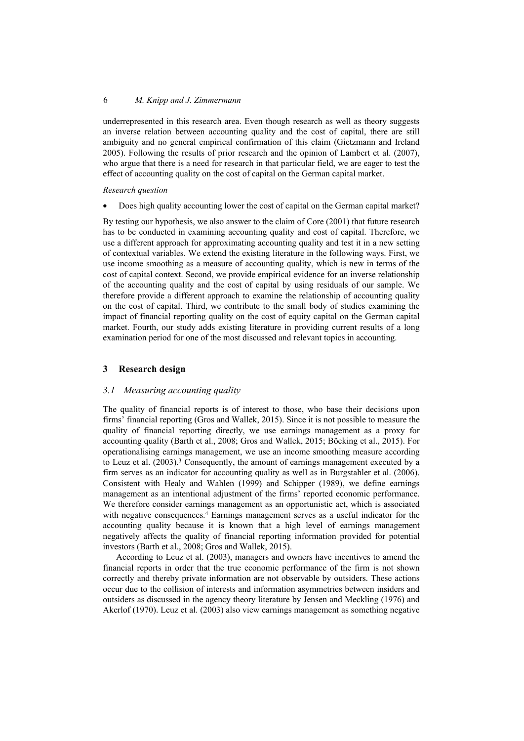underrepresented in this research area. Even though research as well as theory suggests an inverse relation between accounting quality and the cost of capital, there are still ambiguity and no general empirical confirmation of this claim (Gietzmann and Ireland 2005). Following the results of prior research and the opinion of Lambert et al. (2007), who argue that there is a need for research in that particular field, we are eager to test the effect of accounting quality on the cost of capital on the German capital market.

## *Research question*

• Does high quality accounting lower the cost of capital on the German capital market?

By testing our hypothesis, we also answer to the claim of Core (2001) that future research has to be conducted in examining accounting quality and cost of capital. Therefore, we use a different approach for approximating accounting quality and test it in a new setting of contextual variables. We extend the existing literature in the following ways. First, we use income smoothing as a measure of accounting quality, which is new in terms of the cost of capital context. Second, we provide empirical evidence for an inverse relationship of the accounting quality and the cost of capital by using residuals of our sample. We therefore provide a different approach to examine the relationship of accounting quality on the cost of capital. Third, we contribute to the small body of studies examining the impact of financial reporting quality on the cost of equity capital on the German capital market. Fourth, our study adds existing literature in providing current results of a long examination period for one of the most discussed and relevant topics in accounting.

## **3 Research design**

## *3.1 Measuring accounting quality*

The quality of financial reports is of interest to those, who base their decisions upon firms' financial reporting (Gros and Wallek, 2015). Since it is not possible to measure the quality of financial reporting directly, we use earnings management as a proxy for accounting quality (Barth et al., 2008; Gros and Wallek, 2015; Böcking et al., 2015). For operationalising earnings management, we use an income smoothing measure according to Leuz et al.  $(2003)$ .<sup>3</sup> Consequently, the amount of earnings management executed by a firm serves as an indicator for accounting quality as well as in Burgstahler et al. (2006). Consistent with Healy and Wahlen (1999) and Schipper (1989), we define earnings management as an intentional adjustment of the firms' reported economic performance. We therefore consider earnings management as an opportunistic act, which is associated with negative consequences.<sup>4</sup> Earnings management serves as a useful indicator for the accounting quality because it is known that a high level of earnings management negatively affects the quality of financial reporting information provided for potential investors (Barth et al., 2008; Gros and Wallek, 2015).

According to Leuz et al. (2003), managers and owners have incentives to amend the financial reports in order that the true economic performance of the firm is not shown correctly and thereby private information are not observable by outsiders. These actions occur due to the collision of interests and information asymmetries between insiders and outsiders as discussed in the agency theory literature by Jensen and Meckling (1976) and Akerlof (1970). Leuz et al. (2003) also view earnings management as something negative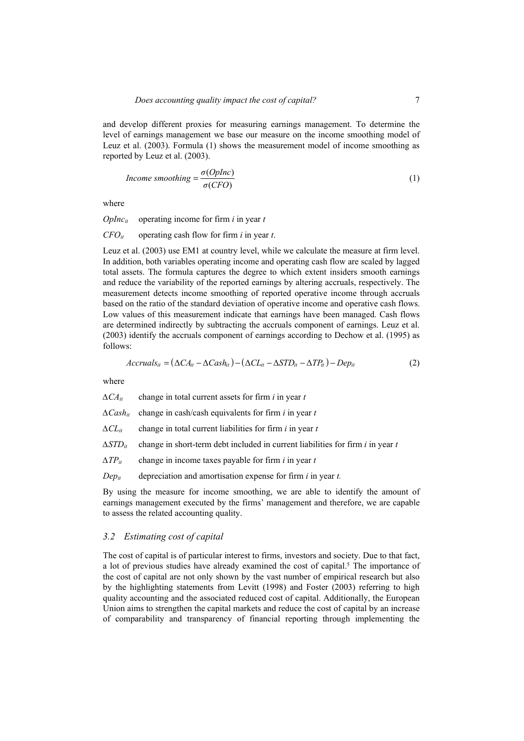and develop different proxies for measuring earnings management. To determine the level of earnings management we base our measure on the income smoothing model of Leuz et al. (2003). Formula (1) shows the measurement model of income smoothing as reported by Leuz et al. (2003).

$$
Income smoothing = \frac{\sigma(Oplnc)}{\sigma(CFO)} \tag{1}
$$

where

*OpIncit* operating income for firm *i* in year *t*

*CFOit* operating cash flow for firm *i* in year *t*.

Leuz et al. (2003) use EM1 at country level, while we calculate the measure at firm level. In addition, both variables operating income and operating cash flow are scaled by lagged total assets. The formula captures the degree to which extent insiders smooth earnings and reduce the variability of the reported earnings by altering accruals, respectively. The measurement detects income smoothing of reported operative income through accruals based on the ratio of the standard deviation of operative income and operative cash flows. Low values of this measurement indicate that earnings have been managed. Cash flows are determined indirectly by subtracting the accruals component of earnings. Leuz et al. (2003) identify the accruals component of earnings according to Dechow et al. (1995) as follows:

$$
Accruals_{it} = (\Delta CA_{it} - \Delta Cash_{it}) - (\Delta CL_{it} - \Delta STD_{it} - \Delta TP_{it}) - Dep_{it}
$$
 (2)

where

*∆CAit* change in total current assets for firm *i* in year *t ∆Cashit* change in cash/cash equivalents for firm *i* in year *t ∆CLit* change in total current liabilities for firm *i* in year *t ∆STDit* change in short-term debt included in current liabilities for firm *i* in year *t ∆TPit* change in income taxes payable for firm *i* in year *t Depit* depreciation and amortisation expense for firm *i* in year *t.*

By using the measure for income smoothing, we are able to identify the amount of earnings management executed by the firms' management and therefore, we are capable to assess the related accounting quality.

## *3.2 Estimating cost of capital*

The cost of capital is of particular interest to firms, investors and society. Due to that fact, a lot of previous studies have already examined the cost of capital.5 The importance of the cost of capital are not only shown by the vast number of empirical research but also by the highlighting statements from Levitt (1998) and Foster (2003) referring to high quality accounting and the associated reduced cost of capital. Additionally, the European Union aims to strengthen the capital markets and reduce the cost of capital by an increase of comparability and transparency of financial reporting through implementing the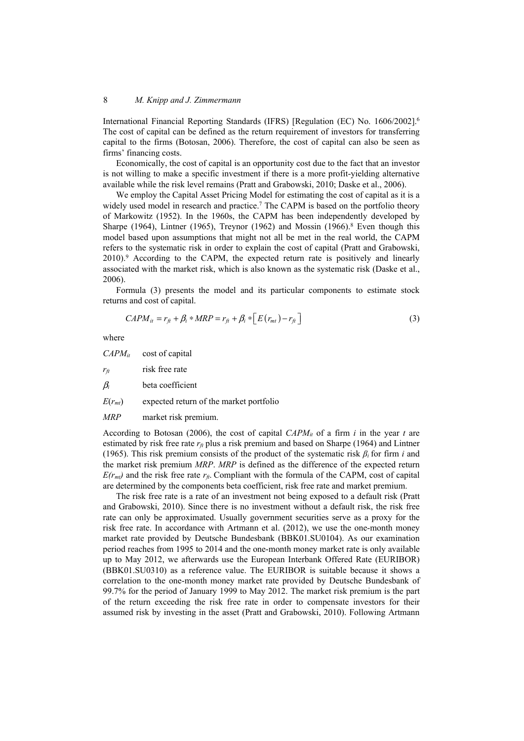International Financial Reporting Standards (IFRS) [Regulation (EC) No. 1606/2002].6 The cost of capital can be defined as the return requirement of investors for transferring capital to the firms (Botosan, 2006). Therefore, the cost of capital can also be seen as firms' financing costs.

Economically, the cost of capital is an opportunity cost due to the fact that an investor is not willing to make a specific investment if there is a more profit-yielding alternative available while the risk level remains (Pratt and Grabowski, 2010; Daske et al., 2006).

We employ the Capital Asset Pricing Model for estimating the cost of capital as it is a widely used model in research and practice.<sup>7</sup> The CAPM is based on the portfolio theory of Markowitz (1952). In the 1960s, the CAPM has been independently developed by Sharpe (1964), Lintner (1965), Treynor (1962) and Mossin (1966).<sup>8</sup> Even though this model based upon assumptions that might not all be met in the real world, the CAPM refers to the systematic risk in order to explain the cost of capital (Pratt and Grabowski, 2010).9 According to the CAPM, the expected return rate is positively and linearly associated with the market risk, which is also known as the systematic risk (Daske et al., 2006).

Formula (3) presents the model and its particular components to estimate stock returns and cost of capital.

$$
CAPM_{it} = r_{ft} + \beta_i * MRP = r_{ft} + \beta_i * \left[ E(r_{mt}) - r_{ft} \right]
$$
\n(3)

where

*CAPMit* cost of capital *r<sub>ft</sub>* risk free rate β*i* beta coefficient  $E(r_{mt})$  expected return of the market portfolio

*MRP* market risk premium.

According to Botosan (2006), the cost of capital  $CAPM<sub>it</sub>$  of a firm *i* in the year *t* are estimated by risk free rate  $r_f$  plus a risk premium and based on Sharpe (1964) and Lintner (1965). This risk premium consists of the product of the systematic risk *β<sup>i</sup>* for firm *i* and the market risk premium *MRP*. *MRP* is defined as the difference of the expected return  $E(r_{mt})$  and the risk free rate  $r_f$ . Compliant with the formula of the CAPM, cost of capital are determined by the components beta coefficient, risk free rate and market premium.

The risk free rate is a rate of an investment not being exposed to a default risk (Pratt and Grabowski, 2010). Since there is no investment without a default risk, the risk free rate can only be approximated. Usually government securities serve as a proxy for the risk free rate. In accordance with Artmann et al. (2012), we use the one-month money market rate provided by Deutsche Bundesbank (BBK01.SU0104). As our examination period reaches from 1995 to 2014 and the one-month money market rate is only available up to May 2012, we afterwards use the European Interbank Offered Rate (EURIBOR) (BBK01.SU0310) as a reference value. The EURIBOR is suitable because it shows a correlation to the one-month money market rate provided by Deutsche Bundesbank of 99.7% for the period of January 1999 to May 2012. The market risk premium is the part of the return exceeding the risk free rate in order to compensate investors for their assumed risk by investing in the asset (Pratt and Grabowski, 2010). Following Artmann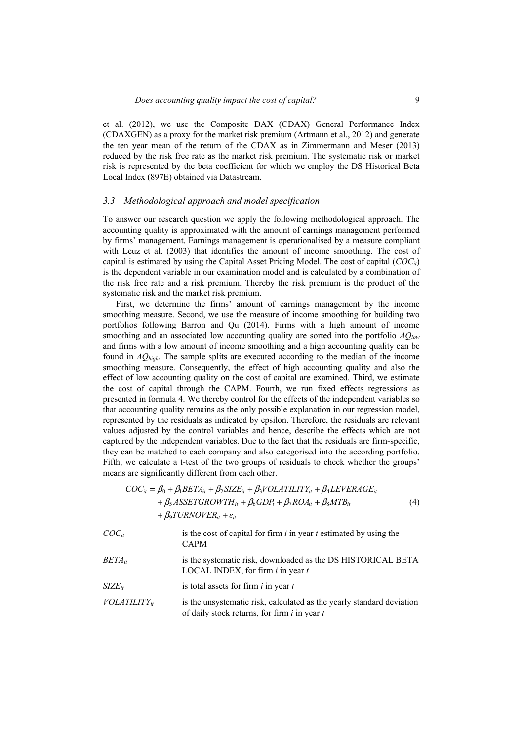et al. (2012), we use the Composite DAX (CDAX) General Performance Index (CDAXGEN) as a proxy for the market risk premium (Artmann et al., 2012) and generate the ten year mean of the return of the CDAX as in Zimmermann and Meser (2013) reduced by the risk free rate as the market risk premium. The systematic risk or market risk is represented by the beta coefficient for which we employ the DS Historical Beta Local Index (897E) obtained via Datastream.

#### *3.3 Methodological approach and model specification*

To answer our research question we apply the following methodological approach. The accounting quality is approximated with the amount of earnings management performed by firms' management. Earnings management is operationalised by a measure compliant with Leuz et al. (2003) that identifies the amount of income smoothing. The cost of capital is estimated by using the Capital Asset Pricing Model. The cost of capital (*COCit*) is the dependent variable in our examination model and is calculated by a combination of the risk free rate and a risk premium. Thereby the risk premium is the product of the systematic risk and the market risk premium.

First, we determine the firms' amount of earnings management by the income smoothing measure. Second, we use the measure of income smoothing for building two portfolios following Barron and Qu (2014). Firms with a high amount of income smoothing and an associated low accounting quality are sorted into the portfolio *AQlow* and firms with a low amount of income smoothing and a high accounting quality can be found in *AQhigh*. The sample splits are executed according to the median of the income smoothing measure. Consequently, the effect of high accounting quality and also the effect of low accounting quality on the cost of capital are examined. Third, we estimate the cost of capital through the CAPM. Fourth, we run fixed effects regressions as presented in formula 4. We thereby control for the effects of the independent variables so that accounting quality remains as the only possible explanation in our regression model, represented by the residuals as indicated by epsilon. Therefore, the residuals are relevant values adjusted by the control variables and hence, describe the effects which are not captured by the independent variables. Due to the fact that the residuals are firm-specific, they can be matched to each company and also categorised into the according portfolio. Fifth, we calculate a t-test of the two groups of residuals to check whether the groups' means are significantly different from each other.

$$
COC_{it} = \beta_0 + \beta_1 BETA_{it} + \beta_2 SIZE_{it} + \beta_3 VOLATILITY_{it} + \beta_4 LEVERAGE_{it}
$$
  
+  $\beta_5 ASSETGROWTH_{it} + \beta_6 GDP_t + \beta_7 ROA_{it} + \beta_8 MTB_{it}$   
+  $\beta_9 TURNOVER_{it} + \varepsilon_{it}$  (4)

| $COC_{it}$        | is the cost of capital for firm $i$ in year $t$ estimated by using the<br><b>CAPM</b>                                     |
|-------------------|---------------------------------------------------------------------------------------------------------------------------|
| $BETA_{it}$       | is the systematic risk, downloaded as the DS HISTORICAL BETA<br>LOCAL INDEX, for firm $i$ in year $t$                     |
| $SIZE_{it}$       | is total assets for firm $i$ in year $t$                                                                                  |
| $VOLATILITY_{it}$ | is the unsystematic risk, calculated as the yearly standard deviation<br>of daily stock returns, for firm $i$ in year $t$ |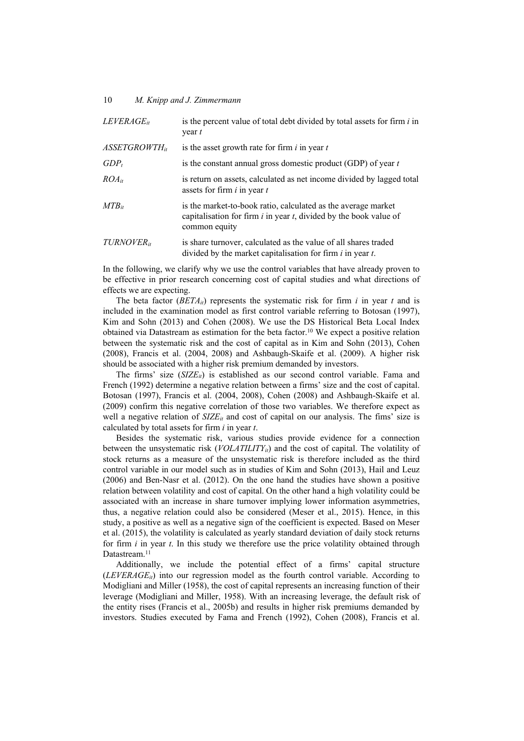| $LEVERAGE_{it}$           | is the percent value of total debt divided by total assets for firm $i$ in<br>$\frac{1}{2}$                                                              |
|---------------------------|----------------------------------------------------------------------------------------------------------------------------------------------------------|
| ASSETGROWTH <sub>it</sub> | is the asset growth rate for firm $i$ in year $t$                                                                                                        |
| $GDP_t$                   | is the constant annual gross domestic product (GDP) of year $t$                                                                                          |
| $ROA_{it}$                | is return on assets, calculated as net income divided by lagged total<br>assets for firm <i>i</i> in year <i>t</i>                                       |
| $MTB_{it}$                | is the market-to-book ratio, calculated as the average market<br>capitalisation for firm $i$ in year $t$ , divided by the book value of<br>common equity |
| TURNOVER <sub>it</sub>    | is share turnover, calculated as the value of all shares traded<br>divided by the market capitalisation for firm $i$ in year $t$ .                       |

In the following, we clarify why we use the control variables that have already proven to be effective in prior research concerning cost of capital studies and what directions of effects we are expecting.

The beta factor  $(BETA_{it})$  represents the systematic risk for firm *i* in year *t* and is included in the examination model as first control variable referring to Botosan (1997), Kim and Sohn (2013) and Cohen (2008). We use the DS Historical Beta Local Index obtained via Datastream as estimation for the beta factor.10 We expect a positive relation between the systematic risk and the cost of capital as in Kim and Sohn (2013), Cohen (2008), Francis et al. (2004, 2008) and Ashbaugh-Skaife et al. (2009). A higher risk should be associated with a higher risk premium demanded by investors.

The firms' size  $(SIZE_{it})$  is established as our second control variable. Fama and French (1992) determine a negative relation between a firms' size and the cost of capital. Botosan (1997), Francis et al. (2004, 2008), Cohen (2008) and Ashbaugh-Skaife et al. (2009) confirm this negative correlation of those two variables. We therefore expect as well a negative relation of  $SIZE_{it}$  and cost of capital on our analysis. The fims' size is calculated by total assets for firm *i* in year *t*.

Besides the systematic risk, various studies provide evidence for a connection between the unsystematic risk  $(VOLATLLITY_{ii})$  and the cost of capital. The volatility of stock returns as a measure of the unsystematic risk is therefore included as the third control variable in our model such as in studies of Kim and Sohn (2013), Hail and Leuz (2006) and Ben-Nasr et al. (2012). On the one hand the studies have shown a positive relation between volatility and cost of capital. On the other hand a high volatility could be associated with an increase in share turnover implying lower information asymmetries, thus, a negative relation could also be considered (Meser et al., 2015). Hence, in this study, a positive as well as a negative sign of the coefficient is expected. Based on Meser et al. (2015), the volatility is calculated as yearly standard deviation of daily stock returns for firm *i* in year *t*. In this study we therefore use the price volatility obtained through Datastream<sup>11</sup>

Additionally, we include the potential effect of a firms' capital structure  $(LEVERAGE_{ii})$  into our regression model as the fourth control variable. According to Modigliani and Miller (1958), the cost of capital represents an increasing function of their leverage (Modigliani and Miller, 1958). With an increasing leverage, the default risk of the entity rises (Francis et al., 2005b) and results in higher risk premiums demanded by investors. Studies executed by Fama and French (1992), Cohen (2008), Francis et al.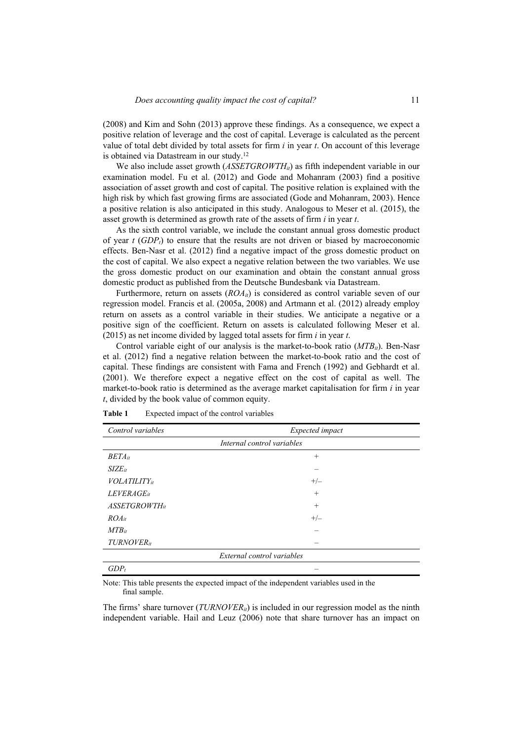(2008) and Kim and Sohn (2013) approve these findings. As a consequence, we expect a positive relation of leverage and the cost of capital. Leverage is calculated as the percent value of total debt divided by total assets for firm *i* in year *t*. On account of this leverage is obtained via Datastream in our study.12

We also include asset growth (*ASSETGROWTH<sub>it</sub>*) as fifth independent variable in our examination model. Fu et al. (2012) and Gode and Mohanram (2003) find a positive association of asset growth and cost of capital. The positive relation is explained with the high risk by which fast growing firms are associated (Gode and Mohanram, 2003). Hence a positive relation is also anticipated in this study. Analogous to Meser et al. (2015), the asset growth is determined as growth rate of the assets of firm *i* in year *t*.

As the sixth control variable, we include the constant annual gross domestic product of year  $t$  (*GDP<sub>t</sub>*) to ensure that the results are not driven or biased by macroeconomic effects. Ben-Nasr et al. (2012) find a negative impact of the gross domestic product on the cost of capital. We also expect a negative relation between the two variables. We use the gross domestic product on our examination and obtain the constant annual gross domestic product as published from the Deutsche Bundesbank via Datastream.

Furthermore, return on assets  $(ROA_{ii})$  is considered as control variable seven of our regression model. Francis et al. (2005a, 2008) and Artmann et al. (2012) already employ return on assets as a control variable in their studies. We anticipate a negative or a positive sign of the coefficient. Return on assets is calculated following Meser et al. (2015) as net income divided by lagged total assets for firm *i* in year *t*.

Control variable eight of our analysis is the market-to-book ratio (*MTB<sub>it</sub>*). Ben-Nasr et al. (2012) find a negative relation between the market-to-book ratio and the cost of capital. These findings are consistent with Fama and French (1992) and Gebhardt et al. (2001). We therefore expect a negative effect on the cost of capital as well. The market-to-book ratio is determined as the average market capitalisation for firm *i* in year *t*, divided by the book value of common equity.

| Control variables      | Expected impact            |
|------------------------|----------------------------|
|                        | Internal control variables |
| $BETA_{it}$            | $^{+}$                     |
| $SIZE_{it}$            |                            |
| <b>VOLATILITY</b> it   | $+/-$                      |
| LEVERAGE <sub>it</sub> | $+$                        |
| $ASSECTIONTH_{it}$     | $^{+}$                     |
| $ROA_{it}$             | $+/-$                      |
| $MTB_{it}$             |                            |
| TURNOVER <sub>it</sub> |                            |
|                        | External control variables |
| $GDP_t$                |                            |

**Table 1** Expected impact of the control variables

Note: This table presents the expected impact of the independent variables used in the final sample.

The firms' share turnover  $(TURNOVER<sub>it</sub>)$  is included in our regression model as the ninth independent variable. Hail and Leuz (2006) note that share turnover has an impact on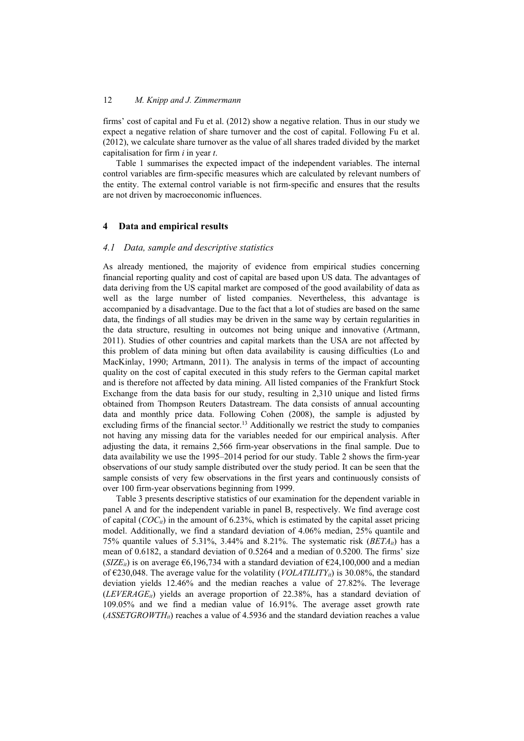firms' cost of capital and Fu et al. (2012) show a negative relation. Thus in our study we expect a negative relation of share turnover and the cost of capital. Following Fu et al. (2012), we calculate share turnover as the value of all shares traded divided by the market capitalisation for firm *i* in year *t*.

Table 1 summarises the expected impact of the independent variables. The internal control variables are firm-specific measures which are calculated by relevant numbers of the entity. The external control variable is not firm-specific and ensures that the results are not driven by macroeconomic influences.

## **4 Data and empirical results**

#### *4.1 Data, sample and descriptive statistics*

As already mentioned, the majority of evidence from empirical studies concerning financial reporting quality and cost of capital are based upon US data. The advantages of data deriving from the US capital market are composed of the good availability of data as well as the large number of listed companies. Nevertheless, this advantage is accompanied by a disadvantage. Due to the fact that a lot of studies are based on the same data, the findings of all studies may be driven in the same way by certain regularities in the data structure, resulting in outcomes not being unique and innovative (Artmann, 2011). Studies of other countries and capital markets than the USA are not affected by this problem of data mining but often data availability is causing difficulties (Lo and MacKinlay, 1990; Artmann, 2011). The analysis in terms of the impact of accounting quality on the cost of capital executed in this study refers to the German capital market and is therefore not affected by data mining. All listed companies of the Frankfurt Stock Exchange from the data basis for our study, resulting in 2,310 unique and listed firms obtained from Thompson Reuters Datastream. The data consists of annual accounting data and monthly price data. Following Cohen (2008), the sample is adjusted by excluding firms of the financial sector.<sup>13</sup> Additionally we restrict the study to companies not having any missing data for the variables needed for our empirical analysis. After adjusting the data, it remains 2,566 firm-year observations in the final sample. Due to data availability we use the 1995–2014 period for our study. Table 2 shows the firm-year observations of our study sample distributed over the study period. It can be seen that the sample consists of very few observations in the first years and continuously consists of over 100 firm-year observations beginning from 1999.

Table 3 presents descriptive statistics of our examination for the dependent variable in panel A and for the independent variable in panel B, respectively. We find average cost of capital  $(COC_{ii})$  in the amount of 6.23%, which is estimated by the capital asset pricing model. Additionally, we find a standard deviation of 4.06% median, 25% quantile and 75% quantile values of 5.31%, 3.44% and 8.21%. The systematic risk  $(BETA_{it})$  has a mean of 0.6182, a standard deviation of 0.5264 and a median of 0.5200. The firms' size (*SIZE<sub>it</sub>*) is on average  $\epsilon$ 6,196,734 with a standard deviation of  $\epsilon$ 24,100,000 and a median of  $\epsilon$ 230,048. The average value for the volatility (*VOLATILITY<sub>it</sub>*) is 30.08%, the standard deviation yields 12.46% and the median reaches a value of 27.82%. The leverage  $(LEVERAGE_{ii})$  yields an average proportion of 22.38%, has a standard deviation of 109.05% and we find a median value of 16.91%. The average asset growth rate  $(ASSETGROWTH<sub>it</sub>)$  reaches a value of 4.5936 and the standard deviation reaches a value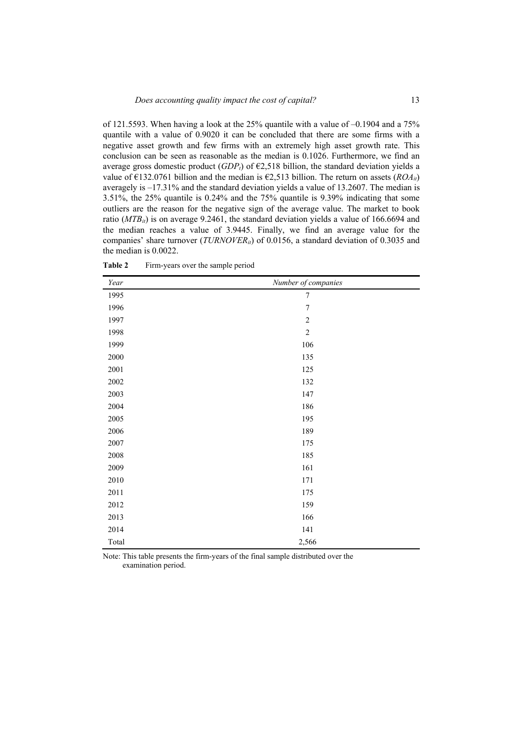| Year  | Number of companies |
|-------|---------------------|
| 1995  | 7                   |
| 1996  | $\sqrt{ }$          |
| 1997  | $\sqrt{2}$          |
| 1998  | $\sqrt{2}$          |
| 1999  | 106                 |
| 2000  | 135                 |
| 2001  | 125                 |
| 2002  | 132                 |
| 2003  | 147                 |
| 2004  | 186                 |
| 2005  | 195                 |
| 2006  | 189                 |
| 2007  | 175                 |
| 2008  | 185                 |
| 2009  | 161                 |
| 2010  | 171                 |
| 2011  | 175                 |
| 2012  | 159                 |
| 2013  | 166                 |
| 2014  | 141                 |
| Total | 2,566               |

**Table 2** Firm-years over the sample period

Note: This table presents the firm-years of the final sample distributed over the examination period.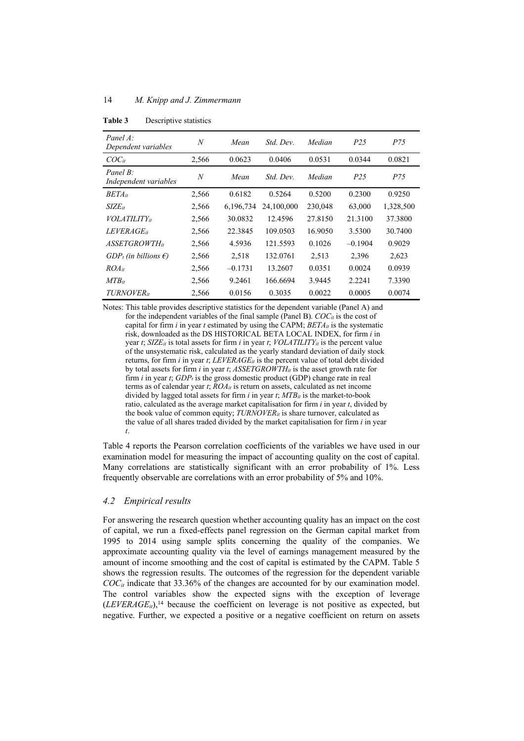| Panel A:<br>Dependent variables   | N     | Mean      | Std. Dev.  | Median  | P <sub>25</sub> | P75       |
|-----------------------------------|-------|-----------|------------|---------|-----------------|-----------|
| $COC_{it}$                        | 2,566 | 0.0623    | 0.0406     | 0.0531  | 0.0344          | 0.0821    |
| Panel B:<br>Independent variables | N     | Mean      | Std. Dev.  | Median  | P <sub>25</sub> | P75       |
| $BETA_{it}$                       | 2,566 | 0.6182    | 0.5264     | 0.5200  | 0.2300          | 0.9250    |
| $SIZE_{it}$                       | 2,566 | 6,196,734 | 24,100,000 | 230,048 | 63,000          | 1,328,500 |
| <i>VOLATILITY</i> <sub>it</sub>   | 2,566 | 30.0832   | 12.4596    | 27.8150 | 21.3100         | 37.3800   |
| <i>LEVERAGE</i> <sub>it</sub>     | 2,566 | 22.3845   | 109.0503   | 16.9050 | 3.5300          | 30.7400   |
| ASSETGROWTHit                     | 2.566 | 4.5936    | 121.5593   | 0.1026  | $-0.1904$       | 0.9029    |
| $GDP_t$ (in billions $\epsilon$ ) | 2,566 | 2,518     | 132.0761   | 2,513   | 2,396           | 2,623     |
| $ROA_{it}$                        | 2,566 | $-0.1731$ | 13.2607    | 0.0351  | 0.0024          | 0.0939    |
| $MTB_{it}$                        | 2,566 | 9.2461    | 166.6694   | 3.9445  | 2.2241          | 7.3390    |
| <b>TURNOVER</b> <sub>it</sub>     | 2,566 | 0.0156    | 0.3035     | 0.0022  | 0.0005          | 0.0074    |

**Table 3** Descriptive statistics

Notes: This table provides descriptive statistics for the dependent variable (Panel A) and for the independent variables of the final sample (Panel B). *COCit* is the cost of capital for firm *i* in year *t* estimated by using the CAPM; *BETAit* is the systematic risk, downloaded as the DS HISTORICAL BETA LOCAL INDEX, for firm *i* in year *t*;  $SIZE_{it}$  is total assets for firm *i* in year *t*;  $VOLATILITY_{it}$  is the percent value of the unsystematic risk, calculated as the yearly standard deviation of daily stock returns, for firm *i* in year *t*;  $LEVERAGE_{it}$  is the percent value of total debt divided by total assets for firm *i* in year *t*; *ASSETGROWTHit* is the asset growth rate for firm  $i$  in year  $t$ ;  $GDP_t$  is the gross domestic product (GDP) change rate in real terms as of calendar year *t*; *ROAit* is return on assets, calculated as net income divided by lagged total assets for firm *i* in year *t*; *MTBit* is the market-to-book ratio, calculated as the average market capitalisation for firm *i* in year *t*, divided by the book value of common equity;  $TURNOVER_{it}$  is share turnover, calculated as the value of all shares traded divided by the market capitalisation for firm *i* in year *t*.

Table 4 reports the Pearson correlation coefficients of the variables we have used in our examination model for measuring the impact of accounting quality on the cost of capital. Many correlations are statistically significant with an error probability of 1%. Less frequently observable are correlations with an error probability of 5% and 10%.

## *4.2 Empirical results*

For answering the research question whether accounting quality has an impact on the cost of capital, we run a fixed-effects panel regression on the German capital market from 1995 to 2014 using sample splits concerning the quality of the companies. We approximate accounting quality via the level of earnings management measured by the amount of income smoothing and the cost of capital is estimated by the CAPM. Table 5 shows the regression results. The outcomes of the regression for the dependent variable *COCit* indicate that 33.36% of the changes are accounted for by our examination model. The control variables show the expected signs with the exception of leverage  $(LEVERAGE_{it})$ <sup>14</sup> because the coefficient on leverage is not positive as expected, but negative. Further, we expected a positive or a negative coefficient on return on assets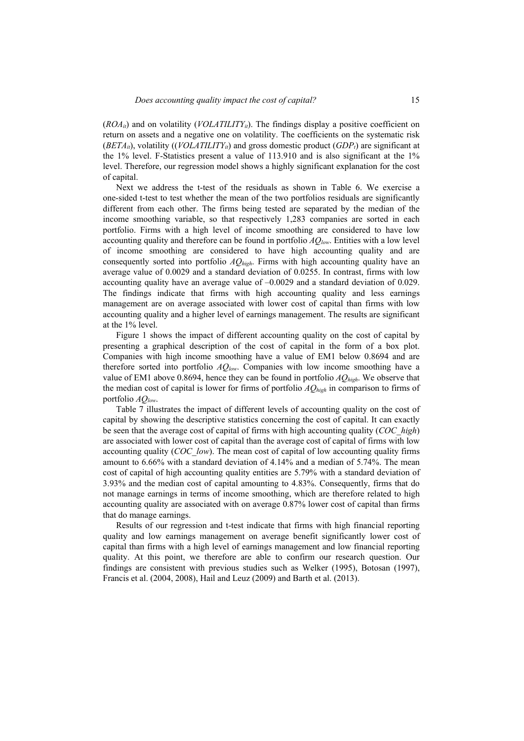$(ROA<sub>it</sub>)$  and on volatility (*VOLATILITY<sub>ii</sub>*). The findings display a positive coefficient on return on assets and a negative one on volatility. The coefficients on the systematic risk  $(BETA_{it})$ , volatility  $((VOLATLLITY_{it})$  and gross domestic product  $(GDP_{t})$  are significant at the 1% level. F-Statistics present a value of 113.910 and is also significant at the 1% level. Therefore, our regression model shows a highly significant explanation for the cost of capital.

Next we address the t-test of the residuals as shown in Table 6. We exercise a one-sided t-test to test whether the mean of the two portfolios residuals are significantly different from each other. The firms being tested are separated by the median of the income smoothing variable, so that respectively 1,283 companies are sorted in each portfolio. Firms with a high level of income smoothing are considered to have low accounting quality and therefore can be found in portfolio *AQlow*. Entities with a low level of income smoothing are considered to have high accounting quality and are consequently sorted into portfolio *AQhigh*. Firms with high accounting quality have an average value of 0.0029 and a standard deviation of 0.0255. In contrast, firms with low accounting quality have an average value of –0.0029 and a standard deviation of 0.029. The findings indicate that firms with high accounting quality and less earnings management are on average associated with lower cost of capital than firms with low accounting quality and a higher level of earnings management. The results are significant at the 1% level.

Figure 1 shows the impact of different accounting quality on the cost of capital by presenting a graphical description of the cost of capital in the form of a box plot. Companies with high income smoothing have a value of EM1 below 0.8694 and are therefore sorted into portfolio *AQlow*. Companies with low income smoothing have a value of EM1 above 0.8694, hence they can be found in portfolio *AQhigh*. We observe that the median cost of capital is lower for firms of portfolio *AQhigh* in comparison to firms of portfolio *AQlow*.

Table 7 illustrates the impact of different levels of accounting quality on the cost of capital by showing the descriptive statistics concerning the cost of capital. It can exactly be seen that the average cost of capital of firms with high accounting quality (*COC\_high*) are associated with lower cost of capital than the average cost of capital of firms with low accounting quality (*COC\_low*). The mean cost of capital of low accounting quality firms amount to 6.66% with a standard deviation of 4.14% and a median of 5.74%. The mean cost of capital of high accounting quality entities are 5.79% with a standard deviation of 3.93% and the median cost of capital amounting to 4.83%. Consequently, firms that do not manage earnings in terms of income smoothing, which are therefore related to high accounting quality are associated with on average 0.87% lower cost of capital than firms that do manage earnings.

Results of our regression and t-test indicate that firms with high financial reporting quality and low earnings management on average benefit significantly lower cost of capital than firms with a high level of earnings management and low financial reporting quality. At this point, we therefore are able to confirm our research question. Our findings are consistent with previous studies such as Welker (1995), Botosan (1997), Francis et al. (2004, 2008), Hail and Leuz (2009) and Barth et al. (2013).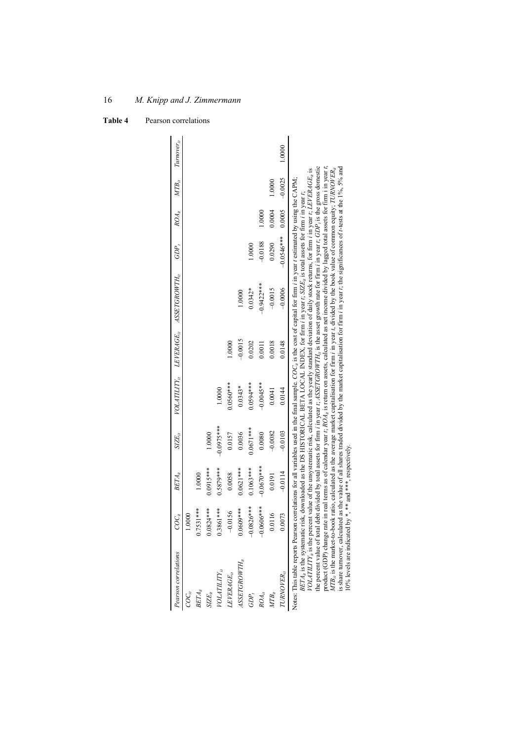| Pearson correlations                                                                                                                                                                                                                                     | COC <sub>01</sub> | $BETA_{it}$  | $S Z E_{it}$ |             |           | VOLATILITY <sub>ii</sub> LEVERAGE <sub>ii</sub> ASSETGROWTH <sub>ii</sub>                                                                                                                                                                                                                                                                                                                                                                                                                                                                                                                                                                                                                                                                                                                                                                                                                                                                                                                                                                                                                                                       | GDP,         | ${ROA}^{}_{ii}$ | $MTB_{\scriptscriptstyle H}$ | $Turnover_{it}$ |
|----------------------------------------------------------------------------------------------------------------------------------------------------------------------------------------------------------------------------------------------------------|-------------------|--------------|--------------|-------------|-----------|---------------------------------------------------------------------------------------------------------------------------------------------------------------------------------------------------------------------------------------------------------------------------------------------------------------------------------------------------------------------------------------------------------------------------------------------------------------------------------------------------------------------------------------------------------------------------------------------------------------------------------------------------------------------------------------------------------------------------------------------------------------------------------------------------------------------------------------------------------------------------------------------------------------------------------------------------------------------------------------------------------------------------------------------------------------------------------------------------------------------------------|--------------|-----------------|------------------------------|-----------------|
| $\overline{C}O\overline{C}_{it}$                                                                                                                                                                                                                         | 1.0000            |              |              |             |           |                                                                                                                                                                                                                                                                                                                                                                                                                                                                                                                                                                                                                                                                                                                                                                                                                                                                                                                                                                                                                                                                                                                                 |              |                 |                              |                 |
| $BETA_{it}$                                                                                                                                                                                                                                              | $0.7531***$       | 1.0000       |              |             |           |                                                                                                                                                                                                                                                                                                                                                                                                                                                                                                                                                                                                                                                                                                                                                                                                                                                                                                                                                                                                                                                                                                                                 |              |                 |                              |                 |
| $SIZE_{it}$                                                                                                                                                                                                                                              | $0.0824***$       | $0.0915***$  | 1.0000       |             |           |                                                                                                                                                                                                                                                                                                                                                                                                                                                                                                                                                                                                                                                                                                                                                                                                                                                                                                                                                                                                                                                                                                                                 |              |                 |                              |                 |
| <i>VOLATILITY<sub>u</sub></i>                                                                                                                                                                                                                            | $0.3861***$       | $0.5879***$  | $-0.0975***$ | 1.0000      |           |                                                                                                                                                                                                                                                                                                                                                                                                                                                                                                                                                                                                                                                                                                                                                                                                                                                                                                                                                                                                                                                                                                                                 |              |                 |                              |                 |
| $LEVERAGE_{it}$                                                                                                                                                                                                                                          | $-0.0156$         | 0.0058       | 0.0157       | $0.0560***$ | 1.0000    |                                                                                                                                                                                                                                                                                                                                                                                                                                                                                                                                                                                                                                                                                                                                                                                                                                                                                                                                                                                                                                                                                                                                 |              |                 |                              |                 |
| ASSETGROWTH,                                                                                                                                                                                                                                             | $0.0609***$       | $0.0621***$  | 0.0036       | $0.0343*$   | $-0.0015$ | 1.0000                                                                                                                                                                                                                                                                                                                                                                                                                                                                                                                                                                                                                                                                                                                                                                                                                                                                                                                                                                                                                                                                                                                          |              |                 |                              |                 |
| GDP,                                                                                                                                                                                                                                                     | $-0.0826***$      | $0.1063***$  | $0.0671***$  | $0.0594***$ | 0.0202    | $0.0342*$                                                                                                                                                                                                                                                                                                                                                                                                                                                                                                                                                                                                                                                                                                                                                                                                                                                                                                                                                                                                                                                                                                                       | 1.0000       |                 |                              |                 |
| $ROA_{it}$                                                                                                                                                                                                                                               | $-0.0606***$      | $-0.0670***$ | 0.0080       | $-0.0045**$ | 0.0011    | $-0.9422***$                                                                                                                                                                                                                                                                                                                                                                                                                                                                                                                                                                                                                                                                                                                                                                                                                                                                                                                                                                                                                                                                                                                    | $-0.0188$    | 1.0000          |                              |                 |
| $\mathit{MTB}_{it}$                                                                                                                                                                                                                                      | 0.0116            | 0.0191       | $-0.0082$    | 0.0041      | 0.0018    | $-0.0015$                                                                                                                                                                                                                                                                                                                                                                                                                                                                                                                                                                                                                                                                                                                                                                                                                                                                                                                                                                                                                                                                                                                       | 0.0290       | 0.0004          | 1.0000                       |                 |
| TURNOVER,                                                                                                                                                                                                                                                | 0.0073            | $-0.0114$    | $-0.0103$    | 0.0144      | 0.0148    | $-0.0006$                                                                                                                                                                                                                                                                                                                                                                                                                                                                                                                                                                                                                                                                                                                                                                                                                                                                                                                                                                                                                                                                                                                       | $-0.0546***$ | 0.0005          | $-0.0025$                    | 1.0000          |
| Notes: This table reports Pearson correlations for all variables used in the final sample. $COC_{el}$ is the cost of capital for firm <i>i</i> in year <i>t</i> estimated by using the CAPM;<br>10% levels are indicated by *, ** and ***, respectively. |                   |              |              |             |           | product (GDP) change rate in real terms as of calendar year t; $ROA_{ii}$ is return on assets, calculated as net income divided by lagged total assets for firm i in year t;<br>the percent value of total debt divided by total assets for firm <i>i</i> in year t; $ASSETGRONTHf$ is the asset growth rate for firm <i>i</i> in year t; $GDPf$ is the gross domestic<br>is share turnover, calculated as the value of all shares traded divided by the market capitalisation for firm i in year t; the significances of r-tests at the 1%, 5% and<br>$MTB_{ii}$ is the market-to-book ratio, calculated as the average market capitalisation for firm <i>i</i> in year <i>t</i> , divided by the book value of common equity; $TURNOVER_{ii}$<br>$VOLATILIT4$ is the percent value of the unsystematic risk, calculated as the yearly standard deviation of daily stock returns, for firm <i>i</i> in year t, LEVERAGE, is<br>$BETA_A$ is the systematic risk, downloaded as the DS HISTORICAL BETA LOCAL INDEX, for firm <i>i</i> in year <i>t</i> ; SIZE <sub>ii</sub> is total assets for firm <i>i</i> in year <i>t</i> ; |              |                 |                              |                 |

*M. Knipp and J. Zimmermann* 

16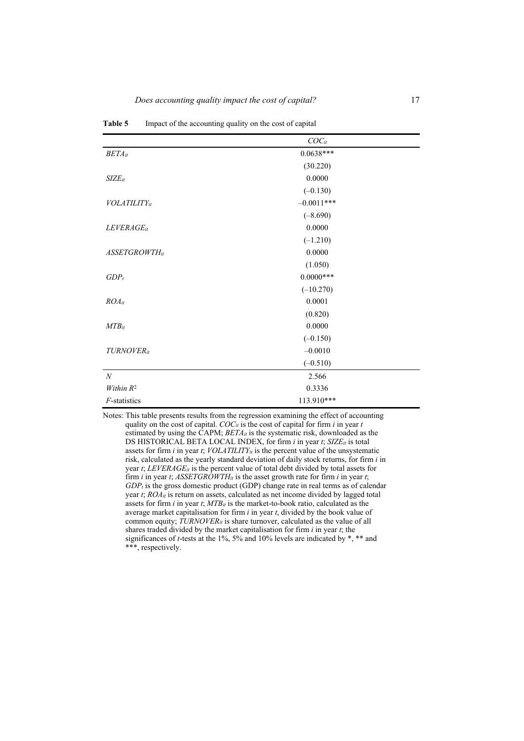|                                 | $COC_{it}$   |  |
|---------------------------------|--------------|--|
| $BETA_{it}$                     | $0.0638***$  |  |
|                                 | (30.220)     |  |
| $SIZE_{it}$                     | 0.0000       |  |
|                                 | $(-0.130)$   |  |
| <b>VOLATILITY</b> <sub>it</sub> | $-0.0011***$ |  |
|                                 | $(-8.690)$   |  |
| LEVERAGE <sub>it</sub>          | 0.0000       |  |
|                                 | $(-1.210)$   |  |
| <b>ASSETGROWTHit</b>            | 0.0000       |  |
|                                 | (1.050)      |  |
| $GDP_t$                         | $0.0000***$  |  |
|                                 | $(-10.270)$  |  |
| $ROA_{it}$                      | 0.0001       |  |
|                                 | (0.820)      |  |
| $MTB_{it}$                      | 0.0000       |  |
|                                 | $(-0.150)$   |  |
| TURNOVERit                      | $-0.0010$    |  |
|                                 | $(-0.510)$   |  |
| $\boldsymbol{N}$                | 2.566        |  |
| Within R <sup>2</sup>           | 0.3336       |  |
| F-statistics                    | 113.910***   |  |

**Table 5** Impact of the accounting quality on the cost of capital

Notes: This table presents results from the regression examining the effect of accounting quality on the cost of capital. *COCit* is the cost of capital for firm *i* in year *t* estimated by using the CAPM; *BETA<sub>it</sub>* is the systematic risk, downloaded as the DS HISTORICAL BETA LOCAL INDEX, for firm *i* in year *t*; *SIZE<sub>it</sub>* is total assets for firm  $i$  in year  $t$ ;  $VOLATLLITY$ <sub>it</sub> is the percent value of the unsystematic risk, calculated as the yearly standard deviation of daily stock returns, for firm *i* in year *t*; *LEVERAGEit* is the percent value of total debt divided by total assets for firm *i* in year *t*;  $ASSECTIONTH_{it}$  is the asset growth rate for firm *i* in year *t*;  $GDP<sub>t</sub>$  is the gross domestic product (GDP) change rate in real terms as of calendar year *t*; *ROAit* is return on assets, calculated as net income divided by lagged total assets for firm *i* in year *t*; *MTBit* is the market-to-book ratio, calculated as the average market capitalisation for firm *i* in year *t*, divided by the book value of common equity; *TURNOVERit* is share turnover, calculated as the value of all shares traded divided by the market capitalisation for firm *i* in year *t*; the significances of *t*-tests at the 1%, 5% and 10% levels are indicated by \*, \*\* and \*\*\*, respectively.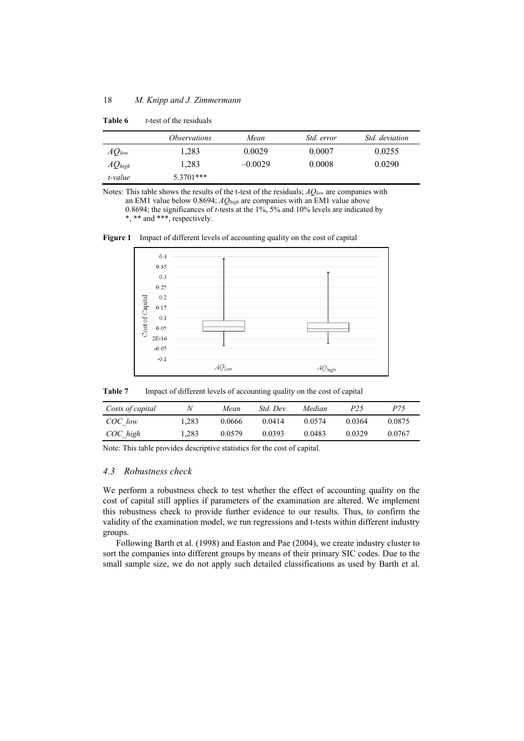|             | <i>Observations</i> | Mean      | <i>Std. error</i> | <i>Std. deviation</i> |
|-------------|---------------------|-----------|-------------------|-----------------------|
| $AQ_{low}$  | 1.283               | 0.0029    | 0.0007            | 0.0255                |
| $AQ_{high}$ | 1.283               | $-0.0029$ | 0.0008            | 0.0290                |
| t-value     | $5.3701***$         |           |                   |                       |

**Table 6** *t*-test of the residuals

Notes: This table shows the results of the t-test of the residuals; *AQlow* are companies with an EM1 value below 0.8694; *AQhigh* are companies with an EM1 value above 0.8694; the significances of *t*-tests at the 1%, 5% and 10% levels are indicated by \*, \*\* and \*\*\*, respectively.

**Figure 1** Impact of different levels of accounting quality on the cost of capital



**Table 7** Impact of different levels of accounting quality on the cost of capital

| Costs of capital |      | Mean   | Std. Dev. | Median | P <sub>25</sub> | P75    |
|------------------|------|--------|-----------|--------|-----------------|--------|
| COC low          | .283 | 0.0666 | 0.0414    | 0.0574 | 0.0364          | 0.0875 |
| COC high         | .283 | 0.0579 | 0.0393    | 0.0483 | 0.0329          | 0.0767 |

Note: This table provides descriptive statistics for the cost of capital.

## *4.3 Robustness check*

We perform a robustness check to test whether the effect of accounting quality on the cost of capital still applies if parameters of the examination are altered. We implement this robustness check to provide further evidence to our results. Thus, to confirm the validity of the examination model, we run regressions and t-tests within different industry groups.

Following Barth et al. (1998) and Easton and Pae (2004), we create industry cluster to sort the companies into different groups by means of their primary SIC codes. Due to the small sample size, we do not apply such detailed classifications as used by Barth et al.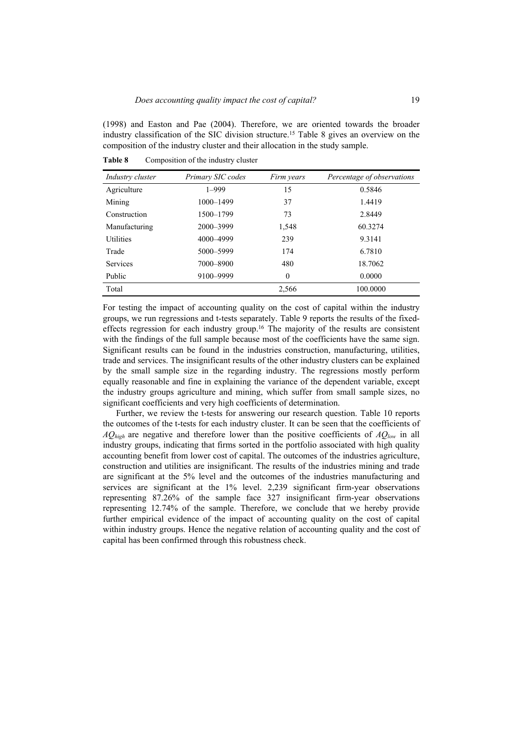(1998) and Easton and Pae (2004). Therefore, we are oriented towards the broader industry classification of the SIC division structure.15 Table 8 gives an overview on the composition of the industry cluster and their allocation in the study sample.

| Industry cluster | Primary SIC codes | Firm years | Percentage of observations |
|------------------|-------------------|------------|----------------------------|
| Agriculture      | $1 - 999$         | 15         | 0.5846                     |
| Mining           | 1000-1499         | 37         | 1.4419                     |
| Construction     | 1500-1799         | 73         | 2.8449                     |
| Manufacturing    | 2000-3999         | 1,548      | 60.3274                    |
| <b>Utilities</b> | 4000-4999         | 239        | 9.3141                     |
| Trade            | 5000-5999         | 174        | 6.7810                     |
| Services         | 7000-8900         | 480        | 18.7062                    |
| Public           | 9100-9999         | $\theta$   | 0.0000                     |
| Total            |                   | 2,566      | 100.0000                   |

**Table 8** Composition of the industry cluster

For testing the impact of accounting quality on the cost of capital within the industry groups, we run regressions and t-tests separately. Table 9 reports the results of the fixedeffects regression for each industry group.16 The majority of the results are consistent with the findings of the full sample because most of the coefficients have the same sign. Significant results can be found in the industries construction, manufacturing, utilities, trade and services. The insignificant results of the other industry clusters can be explained by the small sample size in the regarding industry. The regressions mostly perform equally reasonable and fine in explaining the variance of the dependent variable, except the industry groups agriculture and mining, which suffer from small sample sizes, no significant coefficients and very high coefficients of determination.

Further, we review the t-tests for answering our research question. Table 10 reports the outcomes of the t-tests for each industry cluster. It can be seen that the coefficients of *AQhigh* are negative and therefore lower than the positive coefficients of *AQlow* in all industry groups, indicating that firms sorted in the portfolio associated with high quality accounting benefit from lower cost of capital. The outcomes of the industries agriculture, construction and utilities are insignificant. The results of the industries mining and trade are significant at the 5% level and the outcomes of the industries manufacturing and services are significant at the 1% level. 2,239 significant firm-year observations representing 87.26% of the sample face 327 insignificant firm-year observations representing 12.74% of the sample. Therefore, we conclude that we hereby provide further empirical evidence of the impact of accounting quality on the cost of capital within industry groups. Hence the negative relation of accounting quality and the cost of capital has been confirmed through this robustness check.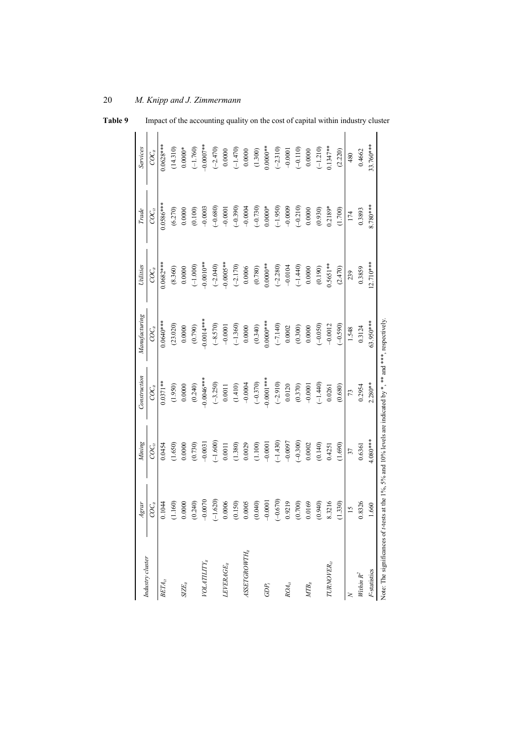| Industry cluster                                                                                              | Agrar          | Mining     | Construction  | Manufacturing | Utilities   | Trade       | Services                |
|---------------------------------------------------------------------------------------------------------------|----------------|------------|---------------|---------------|-------------|-------------|-------------------------|
|                                                                                                               | $_{CC_{it}}$   | $COC_{it}$ | $COC_{\it i}$ | $COC_{ii}$    | $COC_{it}$  | $COC_{it}$  | $\overline{C}O_{u}^{c}$ |
| $BETA_{it}$                                                                                                   | 0.1044         | 0.0454     | $0.0371**$    | $0.0640***$   | $0.0682***$ | $0.0586***$ | $0.0628***$             |
|                                                                                                               | (1.160)        | (1.650)    | (1.950)       | (23.020)      | (8.360)     | (6.270)     | (14.310)                |
| $SIZE_{it}$                                                                                                   | 0.0000         | 0.0000     | 0.0000        | 0.0000        | 0.0000      | 0.0000      | $0.0000*$               |
|                                                                                                               | (0.240)        | (0.730)    | (0.240)       | (0.790)       | $(-1.000)$  | (0.100)     | $(-1.760)$              |
| $\label{eq:total} \textit{POLATLITY}_{it}$                                                                    | $-0.0070$      | $-0.0031$  | $-0.0046***$  | $-0.0014***$  | $-0.0010**$ | $-0.0003$   | $-0.0007$ **            |
|                                                                                                               | $(-1.620)$     | $(-1.600)$ | $(-3.250)$    | $(-8.570)$    | $(-2.040)$  | $(-0.680)$  | $(-2.470)$              |
| $LEVERAGE_{it}$                                                                                               | 0.0006         | 0.0011     | 0.0011        | $-0.0001$     | $-0.0005**$ | $-0.0001$   | 0.0000                  |
|                                                                                                               | (0.150)        | (1.380)    | (1.410)       | $(-1.360)$    | $(-2.170)$  | $(-0.390)$  | $(-1.470)$              |
| $ASSETCROWTH_{it}$                                                                                            | 0.0005         | 0.0029     | $-0.0004$     | 0.0000        | 0.0006      | $-0.0004$   | 0.0000                  |
|                                                                                                               | (0.040)        | (1.100)    | $(-0.370)$    | (0.340)       | (0.780)     | $(-0.730)$  | (1.300)                 |
| $GDP_t$                                                                                                       | $-0.0001$      | $-0.0001$  | $-0.0001***$  | $0.0000$ ***  | $0.0000**$  | $0.0000*$   | $0.0000**$              |
|                                                                                                               | $(-0.670)$     | $(-1.430)$ | $(-2.910)$    | $(-7.140)$    | $(-2.280)$  | $(-1.950)$  | $(-2.310)$              |
| $ROA_{it}$                                                                                                    | 0.9219         | $-0.0097$  | 0.0120        | $0.0002\,$    | $-0.0104$   | $-0.0009$   | $-0.0001$               |
|                                                                                                               | (0.700)        | $(-0.300)$ | (0.370)       | (0.300)       | $(-1.440)$  | $(-0.210)$  | $(-0.110)$              |
| $MTB_{ii}$                                                                                                    | 0.0169         | 0.0002     | $-0.0001$     | 0.0000        | 0.0000      | 0.0000      | 0.0000                  |
|                                                                                                               | (0.940)        | (0.140)    | $(-1.440)$    | $(-0.050)$    | (0.190)     | (0.930)     | $(-1.210)$              |
| TURNOVER <sub>it</sub>                                                                                        | 8.3216         | 0.4251     | 0.0261        | $-0.0012$     | $0.5651**$  | $0.2189*$   | $0.1347**$              |
|                                                                                                               | (1.330)        | (1.690)    | (0.680)       | $(-0.590)$    | (2.470)     | (1.700)     | (2.220)                 |
|                                                                                                               | $\frac{15}{2}$ | 37         | 73            | 1.548         | 239         | 174         | 480                     |
| Within $R^2$                                                                                                  | 0.8326         | 0.6361     | 0.2954        | 0.3124        | 0.3859      | 0.3893      | 0.4662                  |
| F-statistics                                                                                                  | 1.660          | $4.080***$ | $2.280**$     | 63.950***     | $12.710***$ | $8.780***$  | 33.760***               |
| Note: The significances of t-tests at the 1%, 5% and 10% levels are indicated by *, ** and ***, respectively. |                |            |               |               |             |             |                         |

**Table 9** Impact of the accounting quality on the cost of capital within industry cluster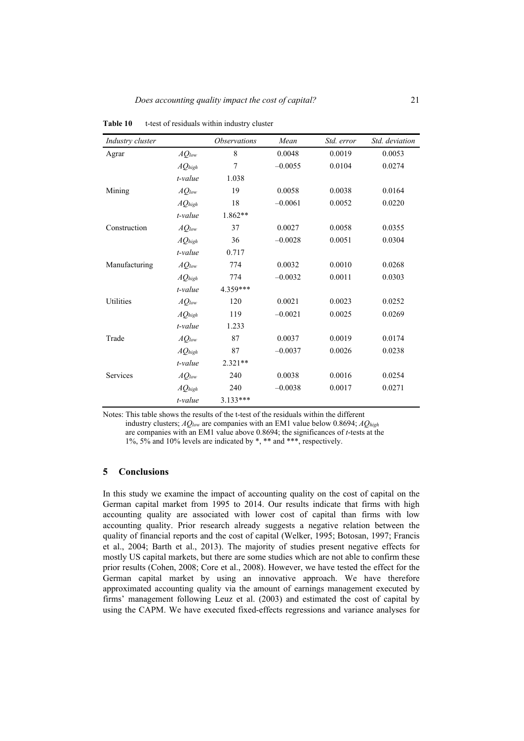| Industry cluster |             | <i><b>Observations</b></i> | Mean      | Std. error | Std. deviation |
|------------------|-------------|----------------------------|-----------|------------|----------------|
| Agrar            | $AQ_{low}$  | 8                          | 0.0048    | 0.0019     | 0.0053         |
|                  | $AQ_{high}$ | 7                          | $-0.0055$ | 0.0104     | 0.0274         |
|                  | t-value     | 1.038                      |           |            |                |
| Mining           | $AQ_{low}$  | 19                         | 0.0058    | 0.0038     | 0.0164         |
|                  | $AQ_{high}$ | 18                         | $-0.0061$ | 0.0052     | 0.0220         |
|                  | t-value     | 1.862**                    |           |            |                |
| Construction     | $AQ_{low}$  | 37                         | 0.0027    | 0.0058     | 0.0355         |
|                  | $AQ_{high}$ | 36                         | $-0.0028$ | 0.0051     | 0.0304         |
|                  | t-value     | 0.717                      |           |            |                |
| Manufacturing    | $AQ_{low}$  | 774                        | 0.0032    | 0.0010     | 0.0268         |
|                  | $AQ_{high}$ | 774                        | $-0.0032$ | 0.0011     | 0.0303         |
|                  | t-value     | 4.359***                   |           |            |                |
| <b>Utilities</b> | $AQ_{low}$  | 120                        | 0.0021    | 0.0023     | 0.0252         |
|                  | $AQ_{high}$ | 119                        | $-0.0021$ | 0.0025     | 0.0269         |
|                  | t-value     | 1.233                      |           |            |                |
| Trade            | $AQ_{low}$  | 87                         | 0.0037    | 0.0019     | 0.0174         |
|                  | $AQ_{high}$ | 87                         | $-0.0037$ | 0.0026     | 0.0238         |
|                  | t-value     | $2.321**$                  |           |            |                |
| Services         | $AQ_{low}$  | 240                        | 0.0038    | 0.0016     | 0.0254         |
|                  | $AQ_{high}$ | 240                        | $-0.0038$ | 0.0017     | 0.0271         |
|                  | t-value     | $3.133***$                 |           |            |                |

**Table 10** t-test of residuals within industry cluster

Notes: This table shows the results of the t-test of the residuals within the different industry clusters; *AQlow* are companies with an EM1 value below 0.8694; *AQhigh* are companies with an EM1 value above 0.8694; the significances of *t*-tests at the 1%, 5% and 10% levels are indicated by \*, \*\* and \*\*\*, respectively.

## **5 Conclusions**

In this study we examine the impact of accounting quality on the cost of capital on the German capital market from 1995 to 2014. Our results indicate that firms with high accounting quality are associated with lower cost of capital than firms with low accounting quality. Prior research already suggests a negative relation between the quality of financial reports and the cost of capital (Welker, 1995; Botosan, 1997; Francis et al., 2004; Barth et al., 2013). The majority of studies present negative effects for mostly US capital markets, but there are some studies which are not able to confirm these prior results (Cohen, 2008; Core et al., 2008). However, we have tested the effect for the German capital market by using an innovative approach. We have therefore approximated accounting quality via the amount of earnings management executed by firms' management following Leuz et al. (2003) and estimated the cost of capital by using the CAPM. We have executed fixed-effects regressions and variance analyses for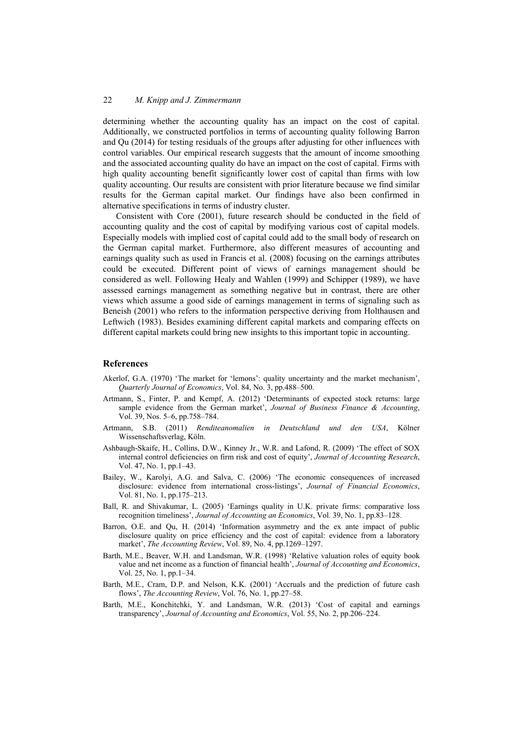determining whether the accounting quality has an impact on the cost of capital. Additionally, we constructed portfolios in terms of accounting quality following Barron and Qu (2014) for testing residuals of the groups after adjusting for other influences with control variables. Our empirical research suggests that the amount of income smoothing and the associated accounting quality do have an impact on the cost of capital. Firms with high quality accounting benefit significantly lower cost of capital than firms with low quality accounting. Our results are consistent with prior literature because we find similar results for the German capital market. Our findings have also been confirmed in alternative specifications in terms of industry cluster.

Consistent with Core (2001), future research should be conducted in the field of accounting quality and the cost of capital by modifying various cost of capital models. Especially models with implied cost of capital could add to the small body of research on the German capital market. Furthermore, also different measures of accounting and earnings quality such as used in Francis et al. (2008) focusing on the earnings attributes could be executed. Different point of views of earnings management should be considered as well. Following Healy and Wahlen (1999) and Schipper (1989), we have assessed earnings management as something negative but in contrast, there are other views which assume a good side of earnings management in terms of signaling such as Beneish (2001) who refers to the information perspective deriving from Holthausen and Leftwich (1983). Besides examining different capital markets and comparing effects on different capital markets could bring new insights to this important topic in accounting.

## **References**

- Akerlof, G.A. (1970) 'The market for 'lemons': quality uncertainty and the market mechanism', *Quarterly Journal of Economics*, Vol. 84, No. 3, pp.488–500.
- Artmann, S., Finter, P. and Kempf, A. (2012) 'Determinants of expected stock returns: large sample evidence from the German market', *Journal of Business Finance & Accounting*, Vol. 39, Nos. 5–6, pp.758–784.
- Artmann, S.B. (2011) *Renditeanomalien in Deutschland und den USA*, Kölner Wissenschaftsverlag, Köln.
- Ashbaugh-Skaife, H., Collins, D.W., Kinney Jr., W.R. and Lafond, R. (2009) 'The effect of SOX internal control deficiencies on firm risk and cost of equity', *Journal of Accounting Research*, Vol. 47, No. 1, pp.1–43.
- Bailey, W., Karolyi, A.G. and Salva, C. (2006) 'The economic consequences of increased disclosure: evidence from international cross-listings', *Journal of Financial Economics*, Vol. 81, No. 1, pp.175–213.
- Ball, R. and Shivakumar, L. (2005) 'Earnings quality in U.K. private firms: comparative loss recognition timeliness', *Journal of Accounting an Economics*, Vol. 39, No. 1, pp.83–128.
- Barron, O.E. and Qu, H. (2014) 'Information asymmetry and the ex ante impact of public disclosure quality on price efficiency and the cost of capital: evidence from a laboratory market', *The Accounting Review*, Vol. 89, No. 4, pp.1269–1297.
- Barth, M.E., Beaver, W.H. and Landsman, W.R. (1998) 'Relative valuation roles of equity book value and net income as a function of financial health', *Journal of Accounting and Economics*, Vol. 25, No. 1, pp.1–34.
- Barth, M.E., Cram, D.P. and Nelson, K.K. (2001) 'Accruals and the prediction of future cash flows', *The Accounting Review*, Vol. 76, No. 1, pp.27–58.
- Barth, M.E., Konchitchki, Y. and Landsman, W.R. (2013) 'Cost of capital and earnings transparency', *Journal of Accounting and Economics*, Vol. 55, No. 2, pp.206–224.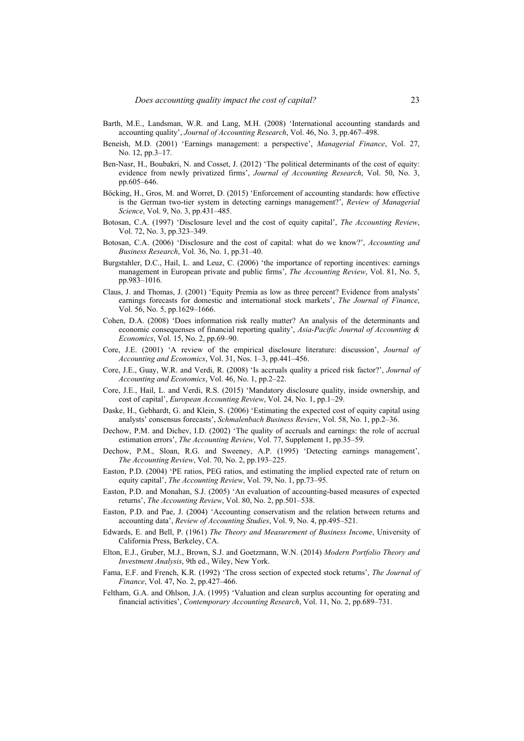- Barth, M.E., Landsman, W.R. and Lang, M.H. (2008) 'International accounting standards and accounting quality', *Journal of Accounting Research*, Vol. 46, No. 3, pp.467–498.
- Beneish, M.D. (2001) 'Earnings management: a perspective', *Managerial Finance*, Vol. 27, No. 12, pp.3–17.
- Ben-Nasr, H., Boubakri, N. and Cosset, J. (2012) 'The political determinants of the cost of equity: evidence from newly privatized firms', *Journal of Accounting Research*, Vol. 50, No. 3, pp.605–646.
- Böcking, H., Gros, M. and Worret, D. (2015) 'Enforcement of accounting standards: how effective is the German two-tier system in detecting earnings management?', *Review of Managerial Science*, Vol. 9, No. 3, pp.431–485.
- Botosan, C.A. (1997) 'Disclosure level and the cost of equity capital', *The Accounting Review*, Vol. 72, No. 3, pp.323–349.
- Botosan, C.A. (2006) 'Disclosure and the cost of capital: what do we know?', *Accounting and Business Research*, Vol. 36, No. 1, pp.31–40.
- Burgstahler, D.C., Hail, L. and Leuz, C. (2006) 'the importance of reporting incentives: earnings management in European private and public firms', *The Accounting Review*, Vol. 81, No. 5, pp.983–1016.
- Claus, J. and Thomas, J. (2001) 'Equity Premia as low as three percent? Evidence from analysts' earnings forecasts for domestic and international stock markets', *The Journal of Finance*, Vol. 56, No. 5, pp.1629–1666.
- Cohen, D.A. (2008) 'Does information risk really matter? An analysis of the determinants and economic consequenses of financial reporting quality', *Asia-Pacific Journal of Accounting & Economics*, Vol. 15, No. 2, pp.69–90.
- Core, J.E. (2001) 'A review of the empirical disclosure literature: discussion', *Journal of Accounting and Economics*, Vol. 31, Nos. 1–3, pp.441–456.
- Core, J.E., Guay, W.R. and Verdi, R. (2008) 'Is accruals quality a priced risk factor?', *Journal of Accounting and Economics*, Vol. 46, No. 1, pp.2–22.
- Core, J.E., Hail, L. and Verdi, R.S. (2015) 'Mandatory disclosure quality, inside ownership, and cost of capital', *European Accounting Review*, Vol. 24, No. 1, pp.1–29.
- Daske, H., Gebhardt, G. and Klein, S. (2006) 'Estimating the expected cost of equity capital using analysts' consensus forecasts', *Schmalenbach Business Review*, Vol. 58, No. 1, pp.2–36.
- Dechow, P.M. and Dichev, I.D. (2002) 'The quality of accruals and earnings: the role of accrual estimation errors', *The Accounting Review*, Vol. 77, Supplement 1, pp.35–59.
- Dechow, P.M., Sloan, R.G. and Sweeney, A.P. (1995) 'Detecting earnings management', *The Accounting Review*, Vol. 70, No. 2, pp.193–225.
- Easton, P.D. (2004) 'PE ratios, PEG ratios, and estimating the implied expected rate of return on equity capital', *The Accounting Review*, Vol. 79, No. 1, pp.73–95.
- Easton, P.D. and Monahan, S.J. (2005) 'An evaluation of accounting-based measures of expected returns', *The Accounting Review*, Vol. 80, No. 2, pp.501–538.
- Easton, P.D. and Pae, J. (2004) 'Accounting conservatism and the relation between returns and accounting data', *Review of Accounting Studies*, Vol. 9, No. 4, pp.495–521.
- Edwards, E. and Bell, P. (1961) *The Theory and Measurement of Business Income*, University of California Press, Berkeley, CA.
- Elton, E.J., Gruber, M.J., Brown, S.J. and Goetzmann, W.N. (2014) *Modern Portfolio Theory and Investment Analysis*, 9th ed., Wiley, New York.
- Fama, E.F. and French, K.R. (1992) 'The cross section of expected stock returns', *The Journal of Finance*, Vol. 47, No. 2, pp.427–466.
- Feltham, G.A. and Ohlson, J.A. (1995) 'Valuation and clean surplus accounting for operating and financial activities', *Contemporary Accounting Research*, Vol. 11, No. 2, pp.689–731.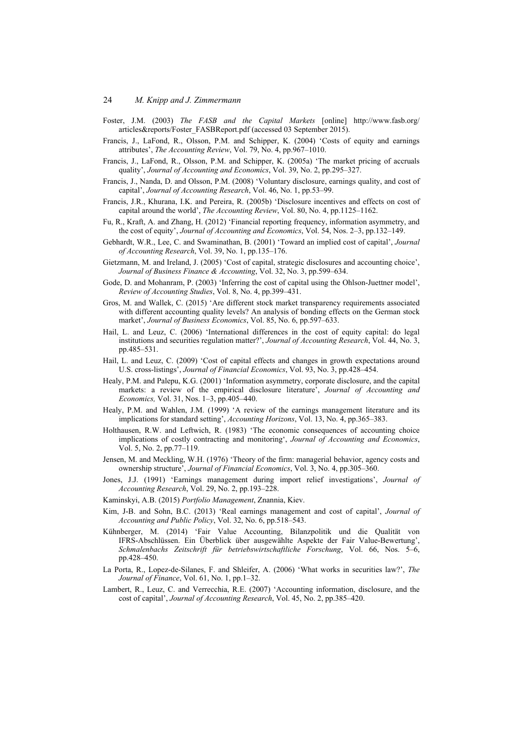- Foster, J.M. (2003) *The FASB and the Capital Markets* [online] http://www.fasb.org/ articles&reports/Foster\_FASBReport.pdf (accessed 03 September 2015).
- Francis, J., LaFond, R., Olsson, P.M. and Schipper, K. (2004) 'Costs of equity and earnings attributes', *The Accounting Review*, Vol. 79, No. 4, pp.967–1010.
- Francis, J., LaFond, R., Olsson, P.M. and Schipper, K. (2005a) 'The market pricing of accruals quality', *Journal of Accounting and Economics*, Vol. 39, No. 2, pp.295–327.
- Francis, J., Nanda, D. and Olsson, P.M. (2008) 'Voluntary disclosure, earnings quality, and cost of capital', *Journal of Accounting Research*, Vol. 46, No. 1, pp.53–99.
- Francis, J.R., Khurana, I.K. and Pereira, R. (2005b) 'Disclosure incentives and effects on cost of capital around the world', *The Accounting Review*, Vol. 80, No. 4, pp.1125–1162.
- Fu, R., Kraft, A. and Zhang, H. (2012) 'Financial reporting frequency, information asymmetry, and the cost of equity', *Journal of Accounting and Economics*, Vol. 54, Nos. 2–3, pp.132–149.
- Gebhardt, W.R., Lee, C. and Swaminathan, B. (2001) 'Toward an implied cost of capital', *Journal of Accounting Research*, Vol. 39, No. 1, pp.135–176.
- Gietzmann, M. and Ireland, J. (2005) 'Cost of capital, strategic disclosures and accounting choice', *Journal of Business Finance & Accounting*, Vol. 32, No. 3, pp.599–634.
- Gode, D. and Mohanram, P. (2003) 'Inferring the cost of capital using the Ohlson-Juettner model', *Review of Accounting Studies*, Vol. 8, No. 4, pp.399–431.
- Gros, M. and Wallek, C. (2015) 'Are different stock market transparency requirements associated with different accounting quality levels? An analysis of bonding effects on the German stock market', *Journal of Business Economics*, Vol. 85, No. 6, pp.597–633.
- Hail, L. and Leuz, C. (2006) 'International differences in the cost of equity capital: do legal institutions and securities regulation matter?', *Journal of Accounting Research*, Vol. 44, No. 3, pp.485–531.
- Hail, L. and Leuz, C. (2009) 'Cost of capital effects and changes in growth expectations around U.S. cross-listings', *Journal of Financial Economics*, Vol. 93, No. 3, pp.428–454.
- Healy, P.M. and Palepu, K.G. (2001) 'Information asymmetry, corporate disclosure, and the capital markets: a review of the empirical disclosure literature', *Journal of Accounting and Economics,* Vol. 31, Nos. 1–3, pp.405–440.
- Healy, P.M. and Wahlen, J.M. (1999) 'A review of the earnings management literature and its implications for standard setting', *Accounting Horizons*, Vol. 13, No. 4, pp.365–383.
- Holthausen, R.W. and Leftwich, R. (1983) 'The economic consequences of accounting choice implications of costly contracting and monitoring', *Journal of Accounting and Economics*, Vol. 5, No. 2, pp.77–119.
- Jensen, M. and Meckling, W.H. (1976) 'Theory of the firm: managerial behavior, agency costs and ownership structure', *Journal of Financial Economics*, Vol. 3, No. 4, pp.305–360.
- Jones, J.J. (1991) 'Earnings management during import relief investigations', *Journal of Accounting Research*, Vol. 29, No. 2, pp.193–228.
- Kaminskyi, A.B. (2015) *Portfolio Management*, Znannia, Kiev.
- Kim, J-B. and Sohn, B.C. (2013) 'Real earnings management and cost of capital', *Journal of Accounting and Public Policy*, Vol. 32, No. 6, pp.518–543.
- Kühnberger, M. (2014) 'Fair Value Accounting, Bilanzpolitik und die Qualität von IFRS-Abschlüssen. Ein Überblick über ausgewählte Aspekte der Fair Value-Bewertung', *Schmalenbachs Zeitschrift für betriebswirtschaftliche Forschung*, Vol. 66, Nos. 5–6, pp.428–450.
- La Porta, R., Lopez-de-Silanes, F. and Shleifer, A. (2006) 'What works in securities law?', *The Journal of Finance*, Vol. 61, No. 1, pp.1–32.
- Lambert, R., Leuz, C. and Verrecchia, R.E. (2007) 'Accounting information, disclosure, and the cost of capital', *Journal of Accounting Research*, Vol. 45, No. 2, pp.385–420.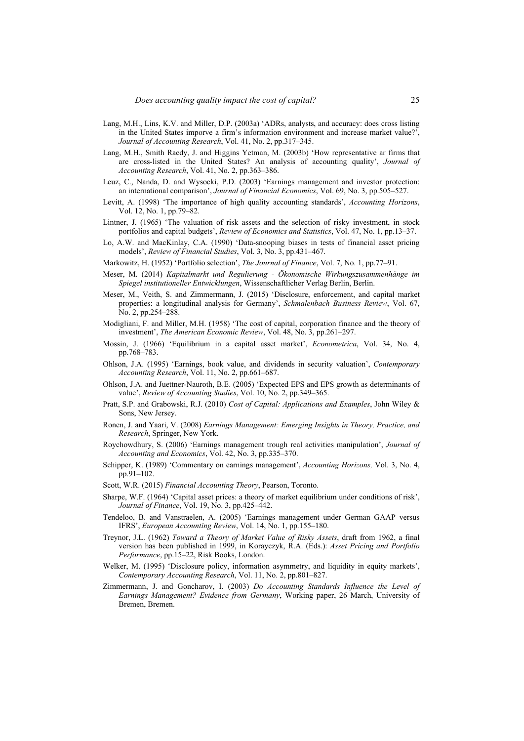- Lang, M.H., Lins, K.V. and Miller, D.P. (2003a) 'ADRs, analysts, and accuracy: does cross listing in the United States imporve a firm's information environment and increase market value?', *Journal of Accounting Research*, Vol. 41, No. 2, pp.317–345.
- Lang, M.H., Smith Raedy, J. and Higgins Yetman, M. (2003b) 'How representative ar firms that are cross-listed in the United States? An analysis of accounting quality', *Journal of Accounting Research*, Vol. 41, No. 2, pp.363–386.
- Leuz, C., Nanda, D. and Wysocki, P.D. (2003) 'Earnings management and investor protection: an international comparison', *Journal of Financial Economics*, Vol. 69, No. 3, pp.505–527.
- Levitt, A. (1998) 'The importance of high quality accounting standards', *Accounting Horizons*, Vol. 12, No. 1, pp.79–82.
- Lintner, J. (1965) 'The valuation of risk assets and the selection of risky investment, in stock portfolios and capital budgets', *Review of Economics and Statistics*, Vol. 47, No. 1, pp.13–37.
- Lo, A.W. and MacKinlay, C.A. (1990) 'Data-snooping biases in tests of financial asset pricing models', *Review of Financial Studies*, Vol. 3, No. 3, pp.431–467.
- Markowitz, H. (1952) 'Portfolio selection', *The Journal of Finance*, Vol. 7, No. 1, pp.77–91.
- Meser, M. (2014) *Kapitalmarkt und Regulierung Ökonomische Wirkungszusammenhänge im Spiegel institutioneller Entwicklungen*, Wissenschaftlicher Verlag Berlin, Berlin.
- Meser, M., Veith, S. and Zimmermann, J. (2015) 'Disclosure, enforcement, and capital market properties: a longitudinal analysis for Germany', *Schmalenbach Business Review*, Vol. 67, No. 2, pp.254–288.
- Modigliani, F. and Miller, M.H. (1958) 'The cost of capital, corporation finance and the theory of investment', *The American Economic Review*, Vol. 48, No. 3, pp.261–297.
- Mossin, J. (1966) 'Equilibrium in a capital asset market', *Econometrica*, Vol. 34, No. 4, pp.768–783.
- Ohlson, J.A. (1995) 'Earnings, book value, and dividends in security valuation', *Contemporary Accounting Research*, Vol. 11, No. 2, pp.661–687.
- Ohlson, J.A. and Juettner-Nauroth, B.E. (2005) 'Expected EPS and EPS growth as determinants of value', *Review of Accounting Studies*, Vol. 10, No. 2, pp.349–365.
- Pratt, S.P. and Grabowski, R.J. (2010) *Cost of Capital: Applications and Examples*, John Wiley & Sons, New Jersey.
- Ronen, J. and Yaari, V. (2008) *Earnings Management: Emerging Insights in Theory, Practice, and Research*, Springer, New York.
- Roychowdhury, S. (2006) 'Earnings management trough real activities manipulation', *Journal of Accounting and Economics*, Vol. 42, No. 3, pp.335–370.
- Schipper, K. (1989) 'Commentary on earnings management', *Accounting Horizons,* Vol. 3, No. 4, pp.91–102.
- Scott, W.R. (2015) *Financial Accounting Theory*, Pearson, Toronto.
- Sharpe, W.F. (1964) 'Capital asset prices: a theory of market equilibrium under conditions of risk', *Journal of Finance*, Vol. 19, No. 3, pp.425–442.
- Tendeloo, B. and Vanstraelen, A. (2005) 'Earnings management under German GAAP versus IFRS', *European Accounting Review*, Vol. 14, No. 1, pp.155–180.
- Treynor, J.L. (1962) *Toward a Theory of Market Value of Risky Assets*, draft from 1962, a final version has been published in 1999, in Korayczyk, R.A. (Eds.): *Asset Pricing and Portfolio Performance*, pp.15–22, Risk Books, London.
- Welker, M. (1995) 'Disclosure policy, information asymmetry, and liquidity in equity markets', *Contemporary Accounting Research*, Vol. 11, No. 2, pp.801–827.
- Zimmermann, J. and Goncharov, I. (2003) *Do Accounting Standards Influence the Level of Earnings Management? Evidence from Germany*, Working paper, 26 March, University of Bremen, Bremen.